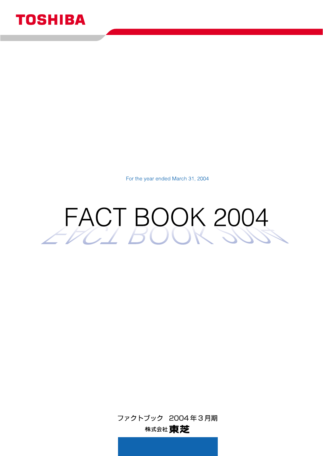

For the year ended March 31, 2004



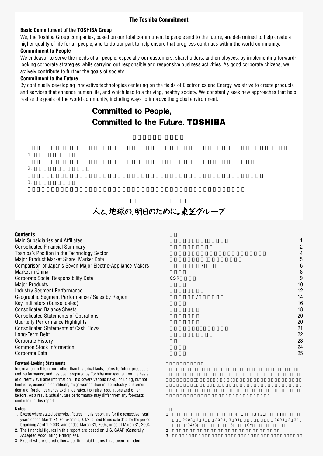### **The Toshiba Commitment**

### **Basic Commitment of the TOSHIBA Group**

We, the Toshiba Group companies, based on our total commitment to people and to the future, are determined to help create a '94/3 '95/3 higher quality of life for all people, and to do our part to help ensure that progress continues within the world community.

### **Commitment to People**

We endeavor to serve the needs of all people, especially our customers, shareholders, and employees, by implementing forwardlooking corporate strategies while carrying out responsible and responsive business activities. As good corporate citizens, we actively contribute to further the goals of society. The state of the state of the state of the state of the state of the state of the state of the state of the state of the state of the state of the state of the state of

### **Commitment to the Future** and the Surface of the Surface of the Surface of the Surface of the Surface of the Surface of the Surface of the Surface of the Surface of the Surface of the Surface of the Surface of the Surface

1.  $\blacksquare$ 

 $3.$ 

2.  $\blacksquare$ 

By continually developing innovative technologies centering on the fields of Electronics and Energy, we strive to create products realize the goals of the world community, including ways to improve the global environment. and services that enhance human life, and which lead to a thriving, healthy society. We constantly seek new approaches that help Earnings per share—Basic (EPS) (¥) 3.78 13.89

# $\blacksquare$  Committed to People, Committed to the Future **TOSHIRA**

 $\mathbf{P}$ 

# Overseas investors 26.6 25.7 20.9 16.2 **19.0**

 $\overline{\mathbf{3}}$ .

| <b>Contents</b>                                             |     |    |
|-------------------------------------------------------------|-----|----|
| <b>Main Subsidiaries and Affiliates</b>                     |     |    |
| <b>Consolidated Financial Summary</b>                       |     |    |
| Toshiba's Position in the Technology Sector                 |     |    |
| Major Product Market Share, Market Data                     |     | 5  |
| Comparison of Japan's Seven Major Electric-Appliance Makers | 7   | 6  |
| Market in China                                             |     | 8  |
| Corporate Social Responsibility Data                        | CSR | 9  |
| <b>Major Products</b>                                       |     | 10 |
| Industry Segment Performance                                |     | 12 |
| Geographic Segment Performance / Sales by Region            |     | 14 |
| Key Indicators (Consolidated)                               |     | 16 |
| <b>Consolidated Balance Sheets</b>                          |     | 18 |
| <b>Consolidated Statements of Operations</b>                |     | 20 |
| <b>Quarterly Performance Highlights</b>                     |     | 20 |
| <b>Consolidated Statements of Cash Flows</b>                |     | 21 |
| Long-Term Debt                                              |     | 22 |
| Corporate History                                           |     | 23 |
| <b>Common Stock Information</b>                             |     | 24 |
| Corporate Data                                              |     | 25 |
|                                                             |     |    |

### **Forward-Looking Statements**

Information in this report, other than historical facts, refers to future prospects 0 contained in this report.  $\frac{4}{111}$  this report. and performance, and has been prepared by Toshiba management on the basis of currently available information. This covers various risks, including, but not limited to, economic conditions, mega-competition in the industry, customer demand, foreign currency exchange rates, tax rules, regulations and other factors. As a result, actual future performance may differ from any forecasts

### **Notes:**

- 1. Except where stated otherwise, figures in this report are for the respective fiscal years ended March 31. For example, '04/3 is used to indicate data for the period beginning April 1, 2003, and ended March 31, 2004, or as of March 31, 2004.
- 2. The financial figures in this report are based on U.S. GAAP (Generally Accepted Accounting Principles).
- 3. Except where stated otherwise, financial figures have been rounded.
- $2004$  3 31 1.  $\frac{1}{1}$   $\frac{1}{1}$   $\frac{1}{1}$   $\frac{1}{2}$   $\frac{1}{1}$   $\frac{1}{2}$   $\frac{1}{1}$   $\frac{1}{2}$   $\frac{1}{1}$ 2003 4 1 2004 3 31  $104/3$  5 CY
- $2.$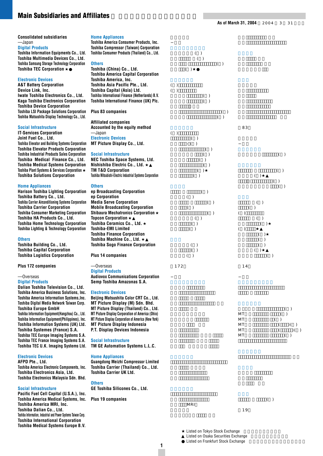### **Main Subsidiaries and Affiliates**

**Consolidated subsidiaries** —Japan

### **Digital Products**

**Toshiba Information Equipments Co., Ltd. Toshiba Multimedia Devices Co., Ltd. Toshiba Samsung Storage Technology Corporation Toshiba TEC Corporation** 

### **Electronic Devices**

**A&T Battery Corporation Device Link, Inc. Iwate Toshiba Electronics Co., Ltd. Kaga Toshiba Electronics Corporation Toshiba Device Corporation Toshiba LSI Package Solutions Corporation Toshiba Matsushita Display Technology Co., Ltd.**

### **Social Infrastructure**

**IT-Services Corporation Joint Fuel Co., Ltd. Toshiba Elevator and Building Systems Corporation Toshiba Elevator Products Corporation Toshiba Industrial Products Sales Corporation Toshiba Medical Finance Co., Ltd. Toshiba Medical Systems Corporation Toshiba Plant Systems & Services Corporation Toshiba Solutions Corporation**

### **Home Appliances**

**Harison Toshiba Lighting Corporation Toshiba Battery Co., Ltd. Toshiba Carrier Airconditioning Systems Corporation Toshiba Carrier Corporation Toshiba Consumer Marketing Corporation Toshiba HA Products Co., Ltd. Toshiba Home Technology Corporation Toshiba Lighting & Technology Corporation**

### **Others**

**Toshiba Building Co., Ltd. Toshiba Capital Corporation Toshiba Logistics Corporation**

**Plus 172 companies**

### —Overseas

**Digital Products**

**Dalian Toshiba Television Co., Ltd. Toshiba America Business Solutions, Inc. Toshiba America Information Systems,Inc. Toshiba Digital Media Network Taiwan Corp. Toshiba Europe GmbH Toshiba Information Equipment(Hangzhou) Co., Ltd. Toshiba Information Equipment(Philippines), Inc. Toshiba Information Systems (UK) Ltd. Toshiba Systemes (France) S.A. Toshiba TEC Europe Imaging Systems S.A. Toshiba TEC France Imaging Systems S.A. Toshiba TEC U.K. Imaging Systems Ltd.**

### **Electronic Devices**

**AFPD Pte., Ltd. Toshiba America Electronic Components, Inc. Toshiba Electronics Asia, Ltd. Toshiba Electronics Malaysia Sdn. Bhd.**

### **Social Infrastructure**

**Pacific Fuel Cell Capital (U.S.A.), Inc. Toshiba America Medical Systems, Inc. Plus 19 companies Toshiba America MRI, Inc. Toshiba Dalian Co., Ltd. Toshiba Information, Industrial and Power Systems Taiwan Corp. Toshiba International Corporation Toshiba Medical Systems Europe B.V.**

### **Home Appliances**

**Toshiba America Consumer Products, Inc. Toshiba Compressor (Taiwan) Corporation Toshiba Consumer Products (Thailand) Co., Ltd.**

### **Others**

**Toshiba (China) Co., Ltd. Toshiba America Capital Corporation Toshiba America, Inc. Toshiba Asia Pacific Pte., Ltd. Toshiba Capital (Asia) Ltd. Toshiba International Finance (Netherlands) B.V. Toshiba International Finance (UK) Plc.**

**Plus 83 companies**

**Affiliated companies Accounted by the equity method** —Japan

**Electronic Devices MT Picture Display Co., Ltd.**

### **Social Infrastructure**

**NEC Toshiba Space Systems, Ltd. Nishishiba Electric Co., Ltd. TM T&D Corporation Toshiba Mitsubishi-Electric Industrial Systems Corporation**

### **Others**

**ep Broadcasting Corporation ep Corporation Media Serve Corporation Mobile Broadcasting Corporation Shibaura Mechatronics Corporation Topcon Corporation Toshiba Ceramics Co., Ltd. Toshiba-EMI Limited Toshiba Finance Corporation** Toshiba Machine Co., Ltd. **Toshiba Sogo Finance Corporation**

**Plus 14 companies**

### —Overseas **Digital Products**

**Audiovox Communications Corporation Semp Toshiba Amazonas S.A.**

### **Electronic Devices**

**Beijing Matsushita Color CRT Co., Ltd. MT Picture Display (M) Sdn. Bhd. MT Picture Display (Thailand) Co., Ltd. MT Picture Display Corporation of America (Ohio) MT Picture Display Corporation of America (New York) MT Picture Display Indonesia P.T. Display Devices Indonesia**

### **Social Infrastructure**

**TM GE Automation Systems L.L.C.**

### **Home Appliances**

**Guangdong Meizhi Compressor Limited Toshiba Carrier (Thailand) Co., Ltd. Toshiba Carrier UK Ltd.**

### **Others**

**GE Toshiba Silicones Co., Ltd.**

MR<sub>I</sub>

**1**

他19社

Listed on Tokyo Stock Exchange Listed on Osaka Securities Exchange Listed on Frankfurt Stock Exchange

 $($ )  $($  $($  $\lambda$ 東芝エルエスアイ・パッケージソリューション(株)  $\mathcal{L}(\mathcal{L})$  $(+)$  $($  $-( )$  $($ )  $($ )  $\overline{\mathcal{A}}$  $\overline{\mathcal{A}}$  $($  $($ 他83社  $( )$ 

 $($ )

 $($ 

 $($ 

 $( )$ 

 $( )$ 

 $( )$  $($  $( )$ 

> $($  $\rightarrow$

 $\overline{a}$ 他172社

 $($ 

 $( )$  $($   $)$ 

 $( )$ 



ティーエム・ティーアンドディー(株)

 $($ )  $($ )  $( )$ 

モバイル放送(株)



 $($ )

 $($ )

 $($ 

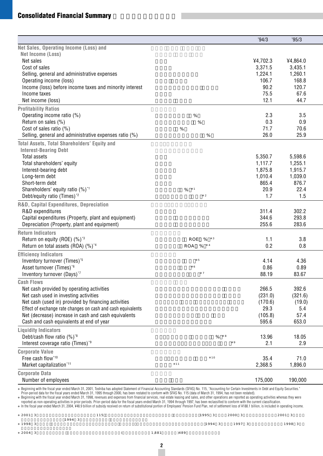# **Consolidated Financial Summary**

|                                                                                                                                                                                                                                                                                                                                                                                                                                  |                                      | '94/3              | '95/3              |
|----------------------------------------------------------------------------------------------------------------------------------------------------------------------------------------------------------------------------------------------------------------------------------------------------------------------------------------------------------------------------------------------------------------------------------|--------------------------------------|--------------------|--------------------|
| Net Sales, Operating Income (Loss) and                                                                                                                                                                                                                                                                                                                                                                                           |                                      |                    |                    |
| Net Income (Loss)                                                                                                                                                                                                                                                                                                                                                                                                                |                                      |                    |                    |
| Net sales                                                                                                                                                                                                                                                                                                                                                                                                                        |                                      | 4,702.3            | ¥4,864.0           |
| Cost of sales                                                                                                                                                                                                                                                                                                                                                                                                                    |                                      | 3,371.5            | 3,435.1            |
| Selling, general and administrative expenses                                                                                                                                                                                                                                                                                                                                                                                     |                                      | 1,224.1            | 1,260.1            |
| Operating income (loss)                                                                                                                                                                                                                                                                                                                                                                                                          |                                      | 106.7              | 168.8              |
| Income (loss) before income taxes and minority interest                                                                                                                                                                                                                                                                                                                                                                          |                                      | 90.2               | 120.7              |
| Income taxes                                                                                                                                                                                                                                                                                                                                                                                                                     |                                      | 75.5               | 67.6               |
| Net income (loss)                                                                                                                                                                                                                                                                                                                                                                                                                |                                      | 12.1               | 44.7               |
| <b>Profitability Ratios</b>                                                                                                                                                                                                                                                                                                                                                                                                      |                                      |                    |                    |
| Operating income ratio (%)                                                                                                                                                                                                                                                                                                                                                                                                       | $\%$                                 | 2.3                | 3.5                |
| Return on sales (%)                                                                                                                                                                                                                                                                                                                                                                                                              | $\%$                                 | 0.3                | 0.9                |
| Cost of sales ratio $(\%)$<br>Selling, general and administrative expenses ratio (%)                                                                                                                                                                                                                                                                                                                                             | $\%$<br>$\%$                         | 71.7<br>26.0       | 70.6<br>25.9       |
|                                                                                                                                                                                                                                                                                                                                                                                                                                  |                                      |                    |                    |
| <b>Total Assets, Total Shareholders' Equity and</b>                                                                                                                                                                                                                                                                                                                                                                              |                                      |                    |                    |
| <b>Interest-Bearing Debt</b>                                                                                                                                                                                                                                                                                                                                                                                                     |                                      |                    |                    |
| Total assets                                                                                                                                                                                                                                                                                                                                                                                                                     |                                      | 5,350.7            | 5,598.6            |
| Total shareholders' equity<br>Interest-bearing debt                                                                                                                                                                                                                                                                                                                                                                              |                                      | 1,117.7<br>1,875.8 | 1,255.1<br>1,915.7 |
| Long-term debt                                                                                                                                                                                                                                                                                                                                                                                                                   |                                      | 1,010.4            | 1,039.0            |
| Short-term debt                                                                                                                                                                                                                                                                                                                                                                                                                  |                                      | 865.4              | 876.7              |
| Shareholders' equity ratio (%) <sup>*1</sup>                                                                                                                                                                                                                                                                                                                                                                                     | $\overline{1}$<br>$\%$               | 20.9               | 22.4               |
| Debt/equity ratio (Times) <sup>*2</sup>                                                                                                                                                                                                                                                                                                                                                                                          | $\,2$                                | 1.7                | 1.5                |
| R&D, Capital Expenditures, Depreciation                                                                                                                                                                                                                                                                                                                                                                                          |                                      |                    |                    |
| R&D expenditures                                                                                                                                                                                                                                                                                                                                                                                                                 |                                      | 311.4              | 302.2              |
| Capital expenditures (Property, plant and equipment)                                                                                                                                                                                                                                                                                                                                                                             |                                      | 344.6              | 293.8              |
| Depreciation (Property, plant and equipment)                                                                                                                                                                                                                                                                                                                                                                                     |                                      | 255.6              | 283.6              |
| <b>Return Indicators</b>                                                                                                                                                                                                                                                                                                                                                                                                         |                                      |                    |                    |
| Return on equity (ROE) (%) <sup>*3</sup>                                                                                                                                                                                                                                                                                                                                                                                         | %<br>ROE<br>$\overline{\phantom{a}}$ | 1.1                | 3.8                |
| Return on total assets (ROA) (%) <sup>*4</sup>                                                                                                                                                                                                                                                                                                                                                                                   | ROA %<br>$\overline{4}$              | 0.2                | 0.8                |
| <b>Efficiency Indicators</b>                                                                                                                                                                                                                                                                                                                                                                                                     |                                      |                    |                    |
| Inventory turnover (Times) <sup>*5</sup>                                                                                                                                                                                                                                                                                                                                                                                         | $\sf 5$                              | 4.14               | 4.36               |
| Asset turnover (Times)*6                                                                                                                                                                                                                                                                                                                                                                                                         | 6                                    | 0.86               | 0.89               |
| Inventory turnover (Days)*7                                                                                                                                                                                                                                                                                                                                                                                                      | $\boldsymbol{7}$                     | 88.19              | 83.67              |
| <b>Cash Flows</b>                                                                                                                                                                                                                                                                                                                                                                                                                |                                      |                    |                    |
| Net cash provided by operating activities                                                                                                                                                                                                                                                                                                                                                                                        |                                      | 266.5              | 392.6              |
| Net cash used in investing activities                                                                                                                                                                                                                                                                                                                                                                                            |                                      | (231.0)            | (321.6)            |
| Net cash (used in) provided by financing activities                                                                                                                                                                                                                                                                                                                                                                              |                                      | (170.6)            | (19.0)             |
| Effect of exchange rate changes on cash and cash equivalents                                                                                                                                                                                                                                                                                                                                                                     |                                      | 29.3               | 5.4                |
| Net (decrease) increase in cash and cash equivalents                                                                                                                                                                                                                                                                                                                                                                             |                                      | (105.8)            | 57.4               |
| Cash and cash equivalents at end of year                                                                                                                                                                                                                                                                                                                                                                                         |                                      | 595.6              | 653.0              |
| <b>Liquidity Indicators</b>                                                                                                                                                                                                                                                                                                                                                                                                      |                                      |                    |                    |
| Debt/cash flow ratio (%) <sup>*8</sup>                                                                                                                                                                                                                                                                                                                                                                                           | 8<br>$\%$<br>9                       | 13.96              | 18.05              |
| Interest coverage ratio (Times) <sup>*9</sup>                                                                                                                                                                                                                                                                                                                                                                                    |                                      | 2.1                | 2.9                |
| <b>Corporate Value</b>                                                                                                                                                                                                                                                                                                                                                                                                           |                                      |                    |                    |
| Free cash flow*10                                                                                                                                                                                                                                                                                                                                                                                                                | 10                                   | 35.4               | 71.0               |
| Market capitalization*11                                                                                                                                                                                                                                                                                                                                                                                                         | 11                                   | 2,368.5            | 1,896.0            |
| <b>Corporate Data</b>                                                                                                                                                                                                                                                                                                                                                                                                            |                                      |                    |                    |
| Number of employees                                                                                                                                                                                                                                                                                                                                                                                                              |                                      | 175,000            | 190,000            |
| Beginning with the fiscal year ended March 31, 2001, Toshiba has adopted Statement of Financial Accounting Standards (SFAS) No. 115, "Accounting for Certain Investments in Debt and Equity Securities."<br>Prior-period data for the fiscal years ended March 31, 1995 through 2000, has been restated to conform with SFAS No. 115 (data of March 31, 1994, has not been restated).                                            |                                      |                    |                    |
| Beginning with the fiscal year ended March 31, 1998, revenues and expenses from financial services, real estate leasing and sales, and other operations are reported as operating activities whereas they were                                                                                                                                                                                                                   |                                      |                    |                    |
| reported as non-operating activities in prior periods. Prior-period data for the fiscal years ended March 31, 1994 through 1997, has been reclassified to conform with the current classification.<br>In the fiscal year ended March 31, 2004, ¥48.9 billion of subsidy received on return of substitutional portion of Employees' Pension Fund Plan, net of settlement loss of ¥188.1 billion, is included in operating income. |                                      |                    |                    |
| 2001 3<br>115                                                                                                                                                                                                                                                                                                                                                                                                                    | 1995 3<br>2000 3                     |                    | 2001 3             |
|                                                                                                                                                                                                                                                                                                                                                                                                                                  |                                      |                    |                    |

| ----   |        | . | . | LUUU J        |        |  |
|--------|--------|---|---|---------------|--------|--|
|        | 1994 3 |   |   |               |        |  |
| 1998 3 |        |   |   | 1994 3 1997 3 | 1998 3 |  |
|        |        |   |   |               |        |  |

 $2004 - 3$  $2004 \quad 3$  (  $1,881 \quad 1489$ 

**2**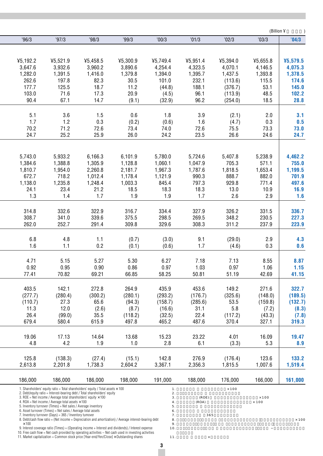|              |                                                                                                                                                                     |             |                                                                                                                                                                                                                     |             |          |              | (Billion ¥   |              |
|--------------|---------------------------------------------------------------------------------------------------------------------------------------------------------------------|-------------|---------------------------------------------------------------------------------------------------------------------------------------------------------------------------------------------------------------------|-------------|----------|--------------|--------------|--------------|
| 96/3         | '97/3                                                                                                                                                               | '98/3       | '99/3                                                                                                                                                                                                               | '00/3       | '01/3    | '02/3        | '03/3        | '04/3        |
|              |                                                                                                                                                                     |             |                                                                                                                                                                                                                     |             |          |              |              |              |
|              |                                                                                                                                                                     |             |                                                                                                                                                                                                                     |             |          |              |              |              |
| 45,192.2     | ¥5,521.9                                                                                                                                                            | ¥5,458.5    | ¥5,300.9                                                                                                                                                                                                            | ¥5,749.4    | 45,951.4 | ¥5,394.0     | ¥5,655.8     | ¥5,579.5     |
| 3,647.6      | 3,932.6                                                                                                                                                             | 3,960.2     | 3,890.6                                                                                                                                                                                                             | 4,254.4     | 4,323.5  | 4,070.1      | 4,146.5      | 4,075.3      |
| 1,282.0      | 1,391.5                                                                                                                                                             | 1,416.0     | 1,379.8                                                                                                                                                                                                             | 1,394.0     | 1,395.7  | 1,437.5      | 1,393.8      | 1,378.5      |
| 262.6        | 197.8                                                                                                                                                               | 82.3        | 30.5                                                                                                                                                                                                                | 101.0       | 232.1    | (113.6)      | 115.5        | 174.6        |
| 177.7        | 125.5                                                                                                                                                               | 18.7        | 11.2                                                                                                                                                                                                                | (44.8)      | 188.1    | (376.7)      | 53.1         | 145.0        |
| 103.0        | 71.6                                                                                                                                                                | 17.3        | 20.9                                                                                                                                                                                                                | (4.5)       | 96.1     | (113.9)      | 48.5         | 102.2        |
| 90.4         | 67.1                                                                                                                                                                | 14.7        | (9.1)                                                                                                                                                                                                               | (32.9)      | 96.2     | (254.0)      | 18.5         | 28.8         |
|              |                                                                                                                                                                     |             |                                                                                                                                                                                                                     |             |          |              |              |              |
| 5.1          | 3.6                                                                                                                                                                 | 1.5         | $0.6\,$                                                                                                                                                                                                             | 1.8         | 3.9      | (2.1)        | 2.0          | 3.1          |
| 1.7          | 1.2                                                                                                                                                                 | 0.3         | (0.2)                                                                                                                                                                                                               | (0.6)       | 1.6      | (4.7)        | 0.3          | 0.5          |
| 70.2         | 71.2                                                                                                                                                                | 72.6        | 73.4                                                                                                                                                                                                                | 74.0        | 72.6     | 75.5         | 73.3         | 73.0         |
| 24.7         | 25.2                                                                                                                                                                | 25.9        | 26.0                                                                                                                                                                                                                | 24.2        | 23.5     | 26.6         | 24.6         | 24.7         |
|              |                                                                                                                                                                     |             |                                                                                                                                                                                                                     |             |          |              |              |              |
| 5,743.0      | 5,933.2                                                                                                                                                             | 6,166.3     | 6,101.9                                                                                                                                                                                                             | 5,780.0     | 5,724.6  | 5,407.8      | 5,238.9      | 4,462.2      |
| 1,384.6      | 1,388.8                                                                                                                                                             | 1,305.9     | 1,128.8                                                                                                                                                                                                             | 1,060.1     | 1,047.9  | 705.3        | 571.1        | 755.0        |
| 1,810.7      | 1,954.0                                                                                                                                                             | 2,260.8     | 2,181.7                                                                                                                                                                                                             | 1,967.3     | 1,787.6  | 1,818.5      | 1,653.4      | 1,199.5      |
| 672.7        | 718.2                                                                                                                                                               | 1,012.4     | 1,178.4                                                                                                                                                                                                             | 1,121.9     | 990.3    | 888.7        | 882.0        | 701.9        |
| 1,138.0      | 1,235.8                                                                                                                                                             | 1,248.4     | 1,003.3                                                                                                                                                                                                             | 845.4       | 797.3    | 929.8        | 771.4        | 497.6        |
| 24.1         |                                                                                                                                                                     |             | 18.5                                                                                                                                                                                                                | 18.3        | 18.3     | 13.0         |              | 16.9         |
| 1.3          | 23.4<br>1.4                                                                                                                                                         | 21.2<br>1.7 | 1.9                                                                                                                                                                                                                 | 1.9         | 1.7      | 2.6          | 10.9<br>2.9  |              |
|              |                                                                                                                                                                     |             |                                                                                                                                                                                                                     |             |          |              |              | 1.6          |
| 314.8        | 332.6                                                                                                                                                               | 322.9       | 316.7                                                                                                                                                                                                               | 334.4       | 327.9    | 326.2        | 331.5        | 336.7        |
| 308.7        | 341.0                                                                                                                                                               | 339.6       | 375.5                                                                                                                                                                                                               | 298.5       | 269.5    | 348.2        | 230.5        | 227.3        |
| 262.0        | 252.7                                                                                                                                                               | 291.4       | 309.8                                                                                                                                                                                                               | 329.6       | 308.3    | 311.2        | 237.9        | 223.9        |
|              |                                                                                                                                                                     |             |                                                                                                                                                                                                                     |             |          |              |              |              |
| 6.8          | 4.8                                                                                                                                                                 | $1.1$       | (0.7)                                                                                                                                                                                                               | (3.0)       | 9.1      | (29.0)       | 2.9          | 4.3          |
| 1.6          | 1.1                                                                                                                                                                 | 0.2         | (0.1)                                                                                                                                                                                                               | (0.6)       | 1.7      | (4.6)        | 0.3          | 0.6          |
|              |                                                                                                                                                                     |             |                                                                                                                                                                                                                     |             |          |              |              |              |
| 4.71         | 5.15                                                                                                                                                                | 5.27        | 5.30                                                                                                                                                                                                                | 6.27        | 7.18     | 7.13         | 8.55         | 8.87         |
| 0.92         | 0.95                                                                                                                                                                | 0.90        | 0.86                                                                                                                                                                                                                | 0.97        | 1.03     | 0.97         | 1.06         | 1.15         |
| 77.41        | 70.82                                                                                                                                                               | 69.21       | 66.85                                                                                                                                                                                                               | 58.25       | 50.81    | 51.19        | 42.69        | 41.15        |
|              |                                                                                                                                                                     |             |                                                                                                                                                                                                                     |             |          |              |              |              |
| 403.5        | 142.1                                                                                                                                                               | 272.8       | 264.9                                                                                                                                                                                                               | 435.9       | 453.6    | 149.2        | 271.6        | 322.7        |
| (277.7)      | (280.4)                                                                                                                                                             | (300.2)     | (280.1)                                                                                                                                                                                                             | (293.2)     | (176.7)  | (325.6)      | (148.0)      | (189.5)      |
| (110.7)      | 27.3                                                                                                                                                                | 65.6        | (94.3)                                                                                                                                                                                                              | (158.7)     | (285.6)  | 53.5         | (159.8)      | (132.7)      |
| 11.3         | 12.0                                                                                                                                                                | (2.6)       | (8.7)                                                                                                                                                                                                               | (16.6)      | 31.1     | 5.8          | (7.2)        | (8.3)        |
| 26.4         | (99.0)                                                                                                                                                              | 35.5        | (118.2)                                                                                                                                                                                                             | (32.5)      | 22.4     | (117.2)      | (43.3)       | (7.8)        |
| 679.4        | 580.4                                                                                                                                                               | 615.9       | 497.8                                                                                                                                                                                                               | 465.2       | 487.6    | 370.4        | 327.1        | 319.3        |
| 19.06        | 17.13                                                                                                                                                               | 14.64       | 13.68                                                                                                                                                                                                               | 15.23       | 23.22    | 4.01         | 16.09        | 19.47        |
| 4.8          | 4.2                                                                                                                                                                 | 1.9         | 1.0                                                                                                                                                                                                                 | 2.8         | 6.1      | (3.3)        | 5.3          | 8.9          |
|              |                                                                                                                                                                     |             |                                                                                                                                                                                                                     |             |          |              |              |              |
| 125.8        | (138.3)                                                                                                                                                             | (27.4)      | (15.1)                                                                                                                                                                                                              | 142.8       | 276.9    | (176.4)      | 123.6        | 133.2        |
| 2,613.8      | 2,201.8                                                                                                                                                             | 1,738.3     | 2,604.2                                                                                                                                                                                                             | 3,367.1     | 2,356.3  | 1,815.5      | 1,007.6      | 1,519.4      |
|              |                                                                                                                                                                     |             |                                                                                                                                                                                                                     |             |          |              |              |              |
| 186,000      | 186,000                                                                                                                                                             | 186,000     | 198,000                                                                                                                                                                                                             | 191,000     | 188,000  | 176,000      | 166,000      | 161,000      |
|              | 1. Shareholders' equity ratio = Total shareholders' equity / Total assets $\times$ 100<br>2. Debt/equity ratio = Interest-bearing debt / Total shareholders' equity |             |                                                                                                                                                                                                                     | $1$ .<br>2. |          | $\times$ 100 |              |              |
|              | 3. ROE = Net income / Average total shareholders' equity $\times$ 100                                                                                               |             |                                                                                                                                                                                                                     | 3.          | (ROE)    |              | $\times$ 100 |              |
|              | 4. ROA = Net income / Average total assets $\times$ 100<br>5. Inventory turnover (Times) = Net sales / Average inventory                                            |             |                                                                                                                                                                                                                     | 4.<br>5.    | (ROA)    |              | $\times$ 100 |              |
|              | 6. Asset turnover (Times) = Net sales / Average total assets                                                                                                        |             |                                                                                                                                                                                                                     | 6.          |          |              |              |              |
|              | 7. Inventory turnover (Days) = 365 / Inventory turnover                                                                                                             |             | 8. Debt/cash flow ratio = (Net income + Depreciation and amortization) / Average interest-bearing debt                                                                                                              | 7.<br>8.    | 365      |              |              | $\times$ 100 |
| $\times$ 100 |                                                                                                                                                                     |             |                                                                                                                                                                                                                     | 9.          |          |              |              |              |
|              |                                                                                                                                                                     |             | 9. Interest coverage ratio (Times) = (Operating income $+$ Interest and dividends) / Interest expense<br>10. Free cash flow $=$ Net cash provided by operating activities $-$ Net cash used in investing activities | 10.         |          |              |              |              |
|              | 11. Market capitalization = Common stock price [Year-end/Yen/Close] $\times$ Outstanding shares                                                                     |             |                                                                                                                                                                                                                     | 11.         |          |              |              |              |

 $\overline{a}$ 

L

L

L

**3**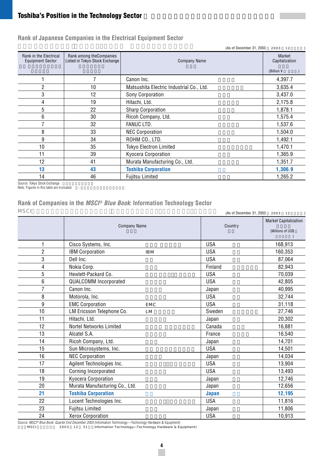# **Toshiba's Position in the Technology Sector**

|                                                   |                                                            | (As of December 31, 2003)                | 2003 12                  |
|---------------------------------------------------|------------------------------------------------------------|------------------------------------------|--------------------------|
| Rank in the Electrical<br><b>Equipment Sector</b> | Rank among the Companies<br>Listed in Tokyo Stock Exchange | <b>Company Name</b>                      | Market<br>Capitalization |
|                                                   |                                                            |                                          | (Billion ¥               |
|                                                   |                                                            | Canon Inc.                               | 4,397.7                  |
| 2                                                 | 10                                                         | Matsushita Electric Industrial Co., Ltd. | 3,635.4                  |
| 3                                                 | 12                                                         | Sony Corporation                         | 3,437.0                  |
| 4                                                 | 19                                                         | Hitachi, Ltd.                            | 2,175.8                  |
| 5                                                 | 22                                                         | <b>Sharp Corporation</b>                 | 1,878.1                  |
| 6                                                 | 30                                                         | Ricoh Company, Ltd.                      | 1,575.4                  |
| 7                                                 | 32                                                         | <b>FANUC LTD.</b>                        | 1,537.6                  |
| 8                                                 | 33                                                         | <b>NEC Corporation</b>                   | 1,504.0                  |
| 9                                                 | 34                                                         | ROHM CO., LTD.                           | 1,492.1                  |
| 10                                                | 35                                                         | <b>Tokyo Electron Limited</b>            | 1,470.1                  |
| 11                                                | 39                                                         | Kyocera Corporation                      | 1,365.9                  |
| 12                                                | 41                                                         | Murata Manufacturing Co., Ltd.           | 1,351.7                  |
| 13                                                | 43                                                         | <b>Toshiba Corporation</b>               | 1,306.9                  |
| 14                                                | 46                                                         | <b>Fujitsu Limited</b>                   | 1,265.2                  |

**Rank of Japanese Companies in the Electrical Equipment Sector**

Source: Tokyo Stock Exchange<br>Note: Figures in this table are truncated.  $\qquad \qquad \vdots$ 

# **Rank of Companies in the MSCI® Blue Book: Information Technology Sector**

| MS CT          | (As of December 31, 2003)<br>2003 12   |              |                                                   |  |  |
|----------------|----------------------------------------|--------------|---------------------------------------------------|--|--|
|                | <b>Company Name</b>                    | Country      | <b>Market Capitalization</b><br>(Millions of US\$ |  |  |
| 1              | Cisco Systems, Inc.                    | <b>USA</b>   | 168,913                                           |  |  |
| $\overline{2}$ | <b>IBM Corporation</b><br><b>IBM</b>   | <b>USA</b>   | 160.353                                           |  |  |
| 3              | Dell Inc.                              | <b>USA</b>   | 87,064                                            |  |  |
| 4              | Nokia Corp.                            | Finland      | 82,943                                            |  |  |
| 5              | Hewlett-Packard Co.                    | <b>USA</b>   | 70,039                                            |  |  |
| 6              | QUALCOMM Incorporated                  | <b>USA</b>   | 42,805                                            |  |  |
| $\overline{7}$ | Canon Inc.                             | Japan        | 40,995                                            |  |  |
| 8              | Motorola, Inc.                         | <b>USA</b>   | 32,744                                            |  |  |
| 9              | <b>EMC Corporation</b><br><b>EMC</b>   | <b>USA</b>   | 31,118                                            |  |  |
| 10             | LM Ericsson Telephone Co.<br><b>LM</b> | Sweden       | 27,746                                            |  |  |
| 11             | Hitachi, Ltd.                          | Japan        | 20,302                                            |  |  |
| 12             | Nortel Networks Limited                | Canada       | 16,881                                            |  |  |
| 13             | Alcatel S.A.                           | France       | 16,540                                            |  |  |
| 14             | Ricoh Company, Ltd.                    | Japan        | 14,701                                            |  |  |
| 15             | Sun Microsystems, Inc.                 | <b>USA</b>   | 14,501                                            |  |  |
| 16             | <b>NEC Corporation</b>                 | Japan        | 14,034                                            |  |  |
| 17             | Agilent Technologies Inc.              | <b>USA</b>   | 13,904                                            |  |  |
| 18             | Corning Incorporated                   | <b>USA</b>   | 13,493                                            |  |  |
| 19             | Kyocera Corporation                    | Japan        | 12,746                                            |  |  |
| 20             | Murata Manufacturing Co., Ltd.         | Japan        | 12,656                                            |  |  |
| 21             | <b>Toshiba Corporation</b>             | <b>Japan</b> | 12,195                                            |  |  |
| 22             | Lucent Technologies Inc.               | <b>USA</b>   | 11,816                                            |  |  |
| 23             | <b>Fujitsu Limited</b>                 | Japan        | 11,806                                            |  |  |
| 24             | <b>Xerox Corporation</b>               | <b>USA</b>   | 10,913                                            |  |  |

Source: MSCI® Blue Book: Quarter End December 2003 (Information Technology—Technology Hardware & Equipment) 出典:MSCI ブルーブック 2003 年 12月 31日(Information Technology―Technology Hardware & Equipment)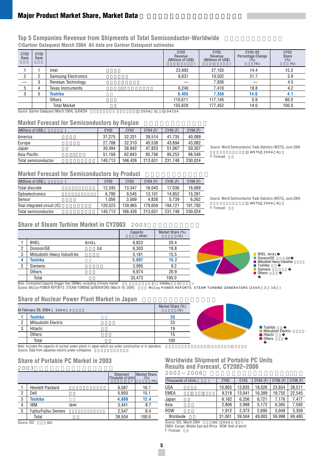# **Major Product Market Share, Market Data**

### **Top 5 Companies Revenue from Shipments of Total Semiconductor-Worldwide ©Gartner Dataquest March 2004 All data are Gartner Dataquest estimates**

| CY <sub>02</sub><br>Rank | CY <sub>03</sub><br>Rank |                                                           | <b>CY02</b><br>Revenue<br>(Millions of US\$) | CY <sub>03</sub><br>Revenue<br>(Millions of US\$) | CY02-03<br>Percentage Change<br>(%)<br>(% ) | CY <sub>03</sub><br>Share<br>(% )<br>(% ) |
|--------------------------|--------------------------|-----------------------------------------------------------|----------------------------------------------|---------------------------------------------------|---------------------------------------------|-------------------------------------------|
|                          |                          | Intel                                                     | 23,692                                       | 27.103                                            | 14.4                                        | 15.3                                      |
| n                        |                          | <b>Samsung Electronics</b>                                | 8,631                                        | 10,502                                            | 21.7                                        | 5.9                                       |
|                          | ŋ<br>o                   | Renesas Technology                                        |                                              | 7,936                                             |                                             | 4.5                                       |
| 5                        |                          | Texas Instruments                                         | 6.240                                        | 7.410                                             | 18.8                                        | 4.2                                       |
| 3                        |                          | Toshiba                                                   | 6,455                                        | 7,356                                             | 14.0                                        | 4.1                                       |
|                          |                          | Others                                                    | 110.611                                      | 117.145                                           | 5.9                                         | 66.0                                      |
|                          |                          | <b>Total Market</b>                                       | 155.629                                      | 177,452                                           | 14.0                                        | 100.0                                     |
|                          |                          | Source: Gartner Dataquest (March 2004), GJ04254<br>2004 3 | GJ04254                                      |                                                   |                                             |                                           |

### **Market Forecast for Semiconductors by Region**

| (Millions of US\$   | CY02    | CY <sub>03</sub> | $CY04$ (F) | CY05 (F) | CY06 (F) |
|---------------------|---------|------------------|------------|----------|----------|
| America             | 31.275  | 32.331           | 39.514     | 41.735   | 40.089   |
| Europe              | 27.788  | 32.310           | 40.538     | 43.694   | 43.082   |
| Japan               | 30.494  | 38.942           | 47.823     | 51.067   | 50.307   |
| Asia Pacific        | 51.156  | 62.843           | 85.756     | 95.253   | 96.546   |
| Total semiconductor | 140.713 | 166.426          | 213.631    | 231.748  | 230.024  |

Source: World Semiconductor Trade Statistics (WSTS), June 2004 WSTS 2004 6 F: Forecast

### **Market Forecast for Semiconductors by Product**

| CY <sub>02</sub> | CY <sub>03</sub> | CY04 (F) | CY05 (F) | CY06 (F) |
|------------------|------------------|----------|----------|----------|
| 12.345           | 13.347           | 16.043   | 17.036   | 16.689   |
| 6.790            | 9.545            | 13.101   | 14.852   | 15.281   |
| 1.056            | 3.569            | 4.828    | 5.739    | 6.262    |
| 120.523          | 139.965          | 179.659  | 194.121  | 191.792  |
| 140.713          | 166.426          | 213.631  | 231.748  | 230.024  |
|                  |                  |          |          |          |

Source: World Semiconductor Trade Statistics (WSTS), June 2004 WSTS 2004 6 F: Forecast

Dooson/GE 斗山/GE Mitsubishi Heavy Industrial 三菱重 Toshiba 東芝

# **Share of Steam Turbine Market in CY2003** 2003

|   |                                                                                                                                                 |      | Capacity<br>(MW) | Market Share (%)<br>$(\%)$ |                                                          |
|---|-------------------------------------------------------------------------------------------------------------------------------------------------|------|------------------|----------------------------|----------------------------------------------------------|
|   | <b>BHEL</b>                                                                                                                                     | BHEL | 6.823            | 20.4                       |                                                          |
| n | Dooson/GE                                                                                                                                       | G E  | 6.303            | 18.8                       |                                                          |
| 3 | Mitsubishi Heavy Industries                                                                                                                     |      | 5.181            | 15.5                       | <b>BHEL BHEL</b>                                         |
|   | Toshiba                                                                                                                                         |      | 5.097            | 15.2                       | Dooson/GE<br>Mitsubishi Heavy                            |
| 5 | Siemens                                                                                                                                         |      | 3.095            | 9.2                        | <b>■ Toshiba</b>                                         |
|   | Others                                                                                                                                          |      | 6.974            | 20.9                       | Siemens<br>Others                                        |
|   | Total                                                                                                                                           |      | 33.473           | 100.0                      |                                                          |
|   | Note: Contracted Capacity (bigger than 5MWe), excluding Chinese market<br>Source: McCoy POWER REPORTS STEAM TURBINE GENERATORS (March 16, 2004) |      |                  | 5 MWe                      | McCoy POWER REPORTS STEAM TURBINE GENERATORS (2004 3 16) |

### **Share of Nuclear Power Plant Market in Japan**

|                | At February 29, 2004<br>2004 2 | Market Share (%)<br>(% ) |
|----------------|--------------------------------|--------------------------|
|                | <b>Toshiba</b>                 | 33                       |
| $\overline{2}$ | Mitsubishi Electric            | 33                       |
| 3              | Hitachi                        | 19                       |
|                | <b>Others</b>                  | 15                       |
|                | Total                          | 100                      |

Note: Includes the capacity of nuclear power plants in Japan which are under construction or in operation.  $($ Source: Data from Japanese electric power companies

### **Share of Portable PC Market in 2003**

2003

|                |                                | Shipment<br>(Thousands of Units) | <b>Market Share</b><br>(%)<br>$(% )^{(1,0)}$ |
|----------------|--------------------------------|----------------------------------|----------------------------------------------|
|                | Hewlett-Packard                | 6,587                            | 16.7                                         |
| 2              | Dell                           | 5,950                            | 15.1                                         |
| 3              | <b>Toshiba</b>                 | 4,889                            | 12.4                                         |
| 4              | <b>IBM</b><br>IB M             | 3.441                            | 8.7                                          |
| $\overline{5}$ | <b>Fujitsu/Fujitsu Siemens</b> | 2,547                            | 6.4                                          |
|                | Total                          | 39,504                           | 100.0                                        |
| Course IDC     | $\overline{D}$                 |                                  |                                              |

Source: IDC IDC



### **Worldwide Shipment of Portable PC Units Results and Forecast, CY2002–2006** 2002 2006

| (Thousands of Units) | CY02   | CY <sub>03</sub> | CY04 (F) | CY05 (F) | CY06 (F) |
|----------------------|--------|------------------|----------|----------|----------|
| <b>USA</b>           | 10.903 | 13.835           | 18.026   | 23.654   | 28.511   |
| <b>EMEA</b>          | 9.218  | 13.041           | 16.389   | 19.755   | 22.545   |
| Japan                | 6.162  | 6.256            | 6.721    | 7.176    | 7.477    |
| Asia                 | 2.806  | 3.998            | 5.172    | 6,365    | 7.593    |
| <b>ROW</b>           | 1.912  | 2.373            | 2.695    | 3.049    | 3.359    |
| Worldwide            | 31.001 | 39.504           | 49.003   | 59.998   | 69.485   |

# Source: IDC, March 2004 IDC (2004 3

EMEA: Europe, Middle East and Africa ROW: Rest of world

F: Forecast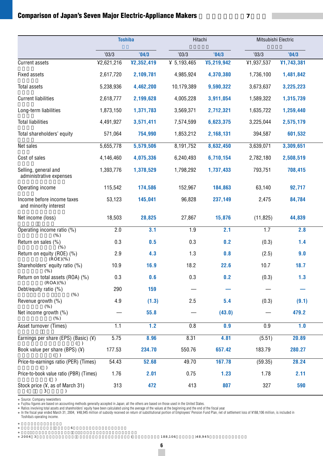# **Comparison of Japan's Seven Major Electric-Appliance Makers**

|                                                     | <b>Toshiba</b> |            | Hitachi     |            | Mitsubishi Electric |            |  |
|-----------------------------------------------------|----------------|------------|-------------|------------|---------------------|------------|--|
|                                                     | '03/3          | '04/3      | '03/3       | '04/3      | '03/3               | '04/3      |  |
| Current assets                                      | ¥2,621,216     | ¥2,352,419 | ¥ 5,193,465 | ¥5,219,942 | ¥1,937,537          | ¥1,743,381 |  |
| <b>Fixed assets</b>                                 | 2,617,720      | 2,109,781  | 4,985,924   | 4,370,380  | 1,736,100           | 1,481,842  |  |
| <b>Total assets</b>                                 | 5,238,936      | 4,462,200  | 10,179,389  | 9,590,322  | 3,673,637           | 3,225,223  |  |
| <b>Current liabilities</b>                          | 2,618,777      | 2,199,628  | 4,005,228   | 3,911,054  | 1,589,322           | 1,315,739  |  |
| Long-term liabilities                               | 1,873,150      | 1,371,783  | 3,569,371   | 2,712,321  | 1,635,722           | 1,259,440  |  |
| <b>Total liabilities</b>                            | 4,491,927      | 3,571,411  | 7,574,599   | 6,623,375  | 3,225,044           | 2,575,179  |  |
| Total shareholders' equity                          | 571,064        | 754,990    | 1,853,212   | 2,168,131  | 394,587             | 601,532    |  |
| Net sales                                           | 5,655,778      | 5,579,506  | 8,191,752   | 8,632,450  | 3,639,071           | 3,309,651  |  |
| Cost of sales                                       | 4,146,460      | 4,075,336  | 6,240,493   | 6,710,154  | 2,782,180           | 2,508,519  |  |
| Selling, general and<br>administrative expenses     | 1,393,776      | 1,378,529  | 1,798,292   | 1,737,433  | 793,751             | 708,415    |  |
| Operating income                                    | 115,542        | 174,586    | 152,967     | 184,863    | 63,140              | 92,717     |  |
| Income before income taxes<br>and minority interest | 53,123         | 145,041    | 96,828      | 237,149    | 2,475               | 84,784     |  |
| Net income (loss)                                   | 18,503         | 28,825     | 27,867      | 15,876     | (11, 825)           | 44,839     |  |
| Operating income ratio (%)<br>$(\% )$               | 2.0            | 3.1        | 1.9         | 2.1        | 1.7                 | 2.8        |  |
| Return on sales (%)<br>(% )                         | 0.3            | 0.5        | 0.3         | 0.2        | (0.3)               | 1.4        |  |
| Return on equity (ROE) (%)<br>(ROE)(% )             | 2.9            | 4.3        | 1.3         | 0.8        | (2.5)               | 9.0        |  |
| Shareholders' equity ratio (%)<br>(% )              | 10.9           | 16.9       | 18.2        | 22.6       | 10.7                | 18.7       |  |
| Return on total assets (ROA) (%)                    | 0.3            | 0.6        | 0.3         | 0.2        | (0.3)               | 1.3        |  |
| (ROA)(% )<br>Debt/equity ratio (%)<br>$(\% )$       | 290            | 159        |             |            |                     |            |  |
| Revenue growth (%)                                  | 4.9            | (1.3)      | 2.5         | 5.4        | (0.3)               | (9.1)      |  |
| $(\% )$<br>Net income growth (%)<br>$(\% )$         |                | 55.8       |             | (43.0)     |                     | 479.2      |  |
| Asset turnover (Times)                              | 1.1            | 1.2        | 0.8         | 0.9        | 0.9                 | 1.0        |  |
| Earnings per share (EPS) (Basic) $(4)$              | 5.75           | 8.96       | 8.31        | 4.81       | (5.51)              | 20.89      |  |
| Book value per share (BPS) (¥)                      | 177.53         | 234.70     | 550.76      | 657.42     | 183.79              | 280.27     |  |
| Price-to-earnings ratio (PER) (Times)               | 54.43          | 52.68      | 49.70       | 167.78     | (59.35)             | 28.24      |  |
| Price-to-book value ratio (PBR) (Times)             | 1.76           | 2.01       | 0.75        | 1.23       | 1.78                | 2.11       |  |
| Stock price (¥, as of March 31)                     | 313            | 472        | 413         | 807        | 327                 | 590        |  |

Source: Company newsletters

Fujitsu figures are based on accounting methods generally accepted in Japan; all the others are based on those used in the United States.<br>Ratios involving total assets and shareholders' equal the others are been been been

Toshiba's operating income.

 $\sim$  6

**6**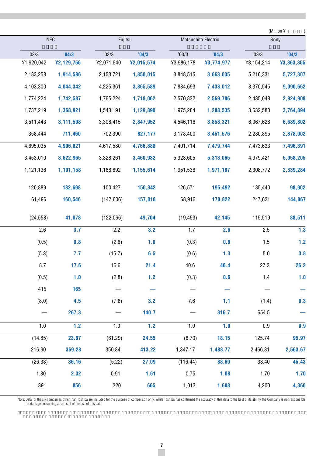| <b>NEC</b> |            |            |            | Matsushita Electric |            |            | (Million ¥       |
|------------|------------|------------|------------|---------------------|------------|------------|------------------|
|            |            | Fujitsu    |            |                     |            |            | Sony             |
| '03/3      | '04/3      | '03/3      | '04/3      | '03/3               | '04/3      | '03/3      | '04/3            |
| ¥1,920,042 | ¥2,129,756 | ¥2,071,640 | ¥2,015,574 | ¥3,986,178          | ¥3,774,977 | ¥3,154,214 | ¥3,363,355       |
| 2,183,258  | 1,914,586  | 2,153,721  | 1,850,015  | 3,848,515           | 3,663,035  | 5,216,331  | 5,727,307        |
| 4,103,300  | 4,044,342  | 4,225,361  | 3,865,589  | 7,834,693           | 7,438,012  | 8,370,545  | 9,090,662        |
| 1,774,224  | 1,742,587  | 1,765,224  | 1,718,062  | 2,570,832           | 2,569,786  | 2,435,048  | 2,924,908        |
| 1,737,219  | 1,368,921  | 1,543,191  | 1,129,890  | 1,975,284           | 1,288,535  | 3,632,580  | 3,764,894        |
| 3,511,443  | 3,111,508  | 3,308,415  | 2,847,952  | 4,546,116           | 3,858,321  | 6,067,628  | 6,689,802        |
| 358,444    | 711,460    | 702,390    | 827,177    | 3,178,400           | 3,451,576  | 2,280,895  | 2,378,002        |
| 4,695,035  | 4,906,821  | 4,617,580  | 4,766,888  | 7,401,714           | 7,479,744  | 7,473,633  | 7,496,391        |
| 3,453,010  | 3,622,965  | 3,328,261  | 3,460,932  | 5,323,605           | 5,313,065  | 4,979,421  | 5,058,205        |
| 1,121,136  | 1,101,158  | 1,188,892  | 1,155,614  | 1,951,538           | 1,971,187  | 2,308,772  | 2,339,284        |
| 120,889    | 182,698    | 100,427    | 150,342    | 126,571             | 195,492    | 185,440    | 98,902           |
| 61,496     | 160,546    | (147, 606) | 157,018    | 68,916              | 170,822    | 247,621    | 144,067          |
| (24, 558)  | 41,078     | (122,066)  | 49,704     | (19, 453)           | 42,145     | 115,519    | 88,511           |
| 2.6        | 3.7        | 2.2        | 3.2        | 1.7                 | 2.6        | 2.5        | $\overline{1.3}$ |
| (0.5)      | 0.8        | (2.6)      | 1.0        | (0.3)               | 0.6        | 1.5        | 1.2              |
| (5.3)      | 7.7        | (15.7)     | 6.5        | (0.6)               | 1.3        | $5.0\,$    | 3.8              |
| 8.7        | 17.6       | 16.6       | 21.4       | 40.6                | 46.4       | 27.2       | 26.2             |
| (0.5)      | 1.0        | (2.8)      | $1.2$      | (0.3)               | 0.6        | 1.4        | 1.0              |
| 415        | 165        |            |            |                     |            |            |                  |
| (8.0)      | 4.5        | (7.8)      | 3.2        | 7.6                 | 1.1        | (1.4)      | 0.3              |
|            | 267.3      |            | 140.7      |                     | 316.7      | 654.5      |                  |
| 1.0        | 1.2        | 1.0        | 1.2        | 1.0                 | 1.0        | 0.9        | 0.9              |
| (14.85)    | 23.67      | (61.29)    | 24.55      | (8.70)              | 18.15      | 125.74     | 95.97            |
| 216.90     | 369.28     | 350.84     | 413.22     | 1,347.17            | 1,488.77   | 2,466.81   | 2,563.67         |
| (26.33)    | 36.16      | (5.22)     | 27.09      | (116.44)            | 88.60      | 33.40      | 45.43            |
| 1.80       | 2.32       | 0.91       | 1.61       | 0.75                | 1.08       | 1.70       | 1.70             |
| 391        | 856        | 320        | 665        | 1,013               | 1,608      | 4,200      | 4,360            |
|            |            |            |            |                     |            |            |                  |

Note: Data for the six companies other than Toshiba are included for the purpose of comparison only. While Toshiba has confirmed the accuracy of this data to the best of its ability, the Company is not responsible for dama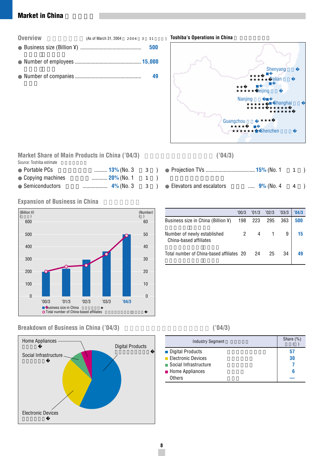# **Market in China**

| <b>Overview</b> | (As of March 31, 2004 2004 3 31 |  |     |  |
|-----------------|---------------------------------|--|-----|--|
|                 |                                 |  | 500 |  |
|                 |                                 |  |     |  |
|                 |                                 |  | 49  |  |



### **Market Share of Main Products in China ('04/3)** ('04/3) Source: Toshiba estimate

| <b>13%</b> (No. 3 | - 3 |  |
|-------------------|-----|--|
| 20% (No. 1        |     |  |
|                   | 3   |  |
|                   |     |  |

# **Expansion of Business in China**



# Breakdown of Business in China ('04/3) <sup>('04/3)</sup>



| Elevators and escalators | $9\%$ (No. 4 4 ) |  |  |
|--------------------------|------------------|--|--|

|                                                       | '00/3   | '01/3 | '02/3 | '03/3 | '04/3 |
|-------------------------------------------------------|---------|-------|-------|-------|-------|
| Business size in China (Billion ¥)                    | 198 223 |       | 295   | 363   | 500   |
| Number of newly established<br>China-based affiliates |         | 4     |       |       | 15    |
| Total number of China-based affiliates 20             |         | 24    | 25    | 34    |       |

| <b>Industry Segment</b> | Share $(\%)$ |
|-------------------------|--------------|
| ■ Digital Products      | 57           |
| Electronic Devices      | 30           |
| ■ Social Infrastructure |              |
| Home Appliances         | 6            |
| Others                  |              |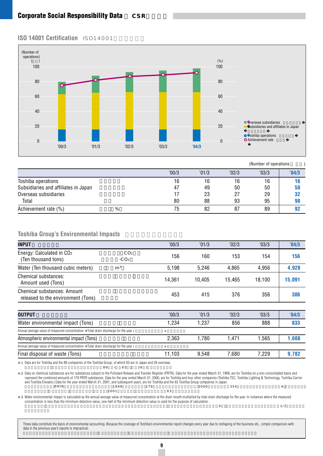### **ISO 14001 Certification** ISO14001



 $(Number of onoratione)$ 

|                                      |   |       |       |       | <b>INGHIDOL OF OPOIRTIONS</b> |       |
|--------------------------------------|---|-------|-------|-------|-------------------------------|-------|
|                                      |   | '00/3 | '01/3 | '02/3 | '03/3                         | '04/3 |
| Toshiba operations                   |   | 16    | 16    | 16    | 16                            |       |
| Subsidiaries and affiliates in Japan |   | 47    | 49    | 50    | 50                            | 50    |
| Overseas subsidiaries                |   |       | 23    |       | 29                            | 32    |
| Total                                |   | 80    | 88    | 93    | 95                            | 98    |
| Achievement rate (%)                 | ℅ | 75    | 82    | 87    | 89                            | 92    |

## **Toshiba Group's Environmental Impacts**

| <b>INPUT</b>                                                                                                                                                                                            |                           | '00/3    | '01/3  | '02/3  | '03/3  | '04/3  |
|---------------------------------------------------------------------------------------------------------------------------------------------------------------------------------------------------------|---------------------------|----------|--------|--------|--------|--------|
| Energy: Calculated in CO <sub>2</sub><br>(Ten thousand tons)                                                                                                                                            | CO <sub>2</sub><br>$-CO2$ | 156      | 160    | 153    | 154    | 156    |
| Water (Ten thousand cubic meters)                                                                                                                                                                       | m <sup>3</sup>            | 5,198    | 5,246  | 4,865  | 4,956  | 4,928  |
| Chemical substances:<br>Amount used (Tons)                                                                                                                                                              |                           | 14.361   | 10.405 | 15.465 | 18.100 | 15,091 |
| <b>Chemical substances: Amount</b><br>released to the environment (Tons)                                                                                                                                |                           | 453      | 415    | 376    | 356    | 306    |
|                                                                                                                                                                                                         |                           |          |        |        |        |        |
| <b>OUTPUT</b>                                                                                                                                                                                           |                           | 00/3     | '01/3  | '02/3  | '03/3  | '04/3  |
| Water environmental impact (Tons)                                                                                                                                                                       |                           | 1,234    | 1,237  | 856    | 888    | 833    |
| Annual average value of measured concentration $\times$ Total drain discharge for the year /                                                                                                            |                           | $\times$ |        |        |        |        |
| Atmospheric environmental impact (Tons)                                                                                                                                                                 |                           | 2,363    | 1.780  | 1,471  | 1.565  | 1.608  |
| Annual average value of measured concentration $\times$ Total drain discharge for the year /                                                                                                            |                           | $\times$ |        |        |        |        |
| Final disposal of waste (Tons)                                                                                                                                                                          |                           | 11,103   | 9,548  | 7,680  | 7,229  | 9,782  |
| 1 Data are for Toshiba and the 89 companies of the Toshiba Group, of which 63 are in Japan and 26 overseas.<br>89                                                                                       | 63<br>26                  |          |        |        |        |        |
| 2 Data on chemical substances are for substances subject to the Pollutant Release and Transfer Register (PRTR). Data for the year ended March 31, 1999, are for Toshiba on a non-consolidated basis and |                           |          |        |        |        |        |

2 Data on chemical substances are for substances subject to the Pollutant Release and Transfer Register (PRTR). Data for the year ended March 31, 1999, are for Toshiba on a non-consolidated basis and<br>represent the combined and Toshiba Elevator.) Data for the year ended March 31, 2001, and subsequent years, are for Toshiba and the 63 Toshiba Group companies in Japan.<br>PRTR 1999 179 2000  $\rm PRTR$  3999 1999 179 2000 354  $\rm 14$  $2001$  63

 $\overline{0}$  and  $\overline{1/2}$ 

3 Water environmental impact is calculated as the annual average value of measured concentration at the drain mouth multiplied by total drain discharge for the year. In instances where the measured<br>concentration is less th

These data constitute the basis of environmental accounting. Because the coverage of Toshiba's environmental report changes every year due to reshaping of the business etc., simple comparison with data in the previous year's reports is impractical.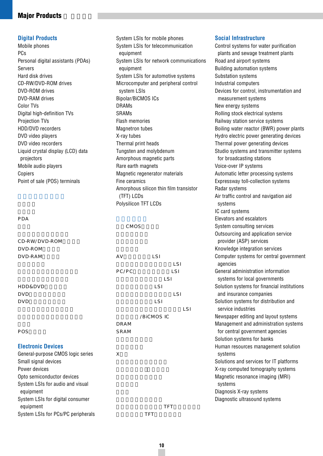### **Digital Products**

Mobile phones PCs Personal digital assistants (PDAs) Servers Hard disk drives CD-RW/DVD-ROM drives DVD-ROM drives DVD-RAM drives Color TVs Digital high-definition TVs Projection TVs HDD/DVD recorders DVD video players DVD video recorders Liquid crystal display (LCD) data projectors Mobile audio players Copiers Point of sale (POS) terminals

| PDA                                           |       |            |            |
|-----------------------------------------------|-------|------------|------------|
|                                               | CMOS  |            |            |
|                                               |       |            |            |
| CD-RW/DVD-ROM                                 |       |            |            |
| DVD-ROM                                       |       |            |            |
| DVD-RAM                                       | A V   | <b>LSI</b> |            |
|                                               |       |            | <b>LSI</b> |
|                                               | PC/PC |            | LSI        |
|                                               |       | LSI        |            |
| <b>HDD&amp;DVD</b>                            |       | LSI        |            |
| <b>DVD</b>                                    |       |            | <b>LSI</b> |
| <b>DVD</b>                                    |       | LSI        |            |
|                                               |       |            | LSI        |
|                                               |       | /BICMOS IC |            |
|                                               | DRAM  |            |            |
| POS                                           | SRAM  |            |            |
| <b>Electronic Devices</b>                     |       |            |            |
| General-purpose CMOS logic series             | X     |            |            |
| Small signal devices                          |       |            |            |
| Power devices                                 |       |            |            |
| Opto semiconductor devices                    |       |            |            |
| System LSIs for audio and visual<br>equipment |       |            |            |
| System LSIs for digital consumer<br>equipment |       | TFT        |            |
| System LSIs for PCs/PC peripherals            |       | <b>TFT</b> |            |

System LSIs for mobile phones System LSIs for telecommunication equipment System LSIs for network communications equipment System LSIs for automotive systems Microcomputer and peripheral control system LSIs Bipolar/BiCMOS ICs DRAMs **SRAMs** Flash memories Magnetron tubes X-ray tubes Thermal print heads Tungsten and molybdenum Amorphous magnetic parts Rare earth magnets Magnetic regenerator materials Fine ceramics Amorphous silicon thin film transistor (TFT) LCDs Polysilicon TFT LCDs

### Control systems for water purification plants and sewage treatment plants Road and airport systems Building automation systems Substation systems

**Social Infrastructure**

Industrial computers Devices for control, instrumentation and measurement systems New energy systems Rolling stock electrical systems Railway station service systems Boiling water reactor (BWR) power plants Hydro electric power generating devices Thermal power generating devices Studio systems and transmitter systems for broadcasting stations Voice-over IP systems Automatic letter processing systems Expressway toll-collection systems Radar systems Air traffic control and navigation aid systems IC card systems Elevators and escalators System consulting services Outsourcing and application service provider (ASP) services Knowledge integration services Computer systems for central government agencies General administration information systems for local governments Solution systems for financial institutions and insurance companies Solution systems for distribution and service industries Newspaper editing and layout systems Management and administration systems for central government agencies Solution systems for banks Human resources management solution systems Solutions and services for IT platforms X-ray computed tomography systems Magnetic resonance imaging (MRI) systems Diagnosis X-ray systems

Diagnostic ultrasound systems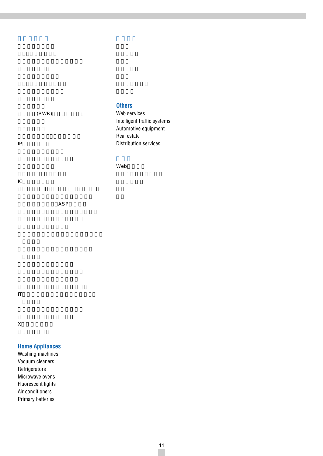|       | <b>Others</b>               |
|-------|-----------------------------|
| (BWR) | Web services                |
|       | Intelligent traffic systems |
|       | Automotive equipment        |
|       | Real estate                 |
| IP    | Distribution services       |
|       |                             |

Web

**IC** 

IP電話システム

ASP

ITプラットフォームソリューション・

 $\mathsf X$ 

# **Home Appliances**

Washing machines Vacuum cleaners **Refrigerators** Microwave ovens Fluorescent lights Air conditioners Primary batteries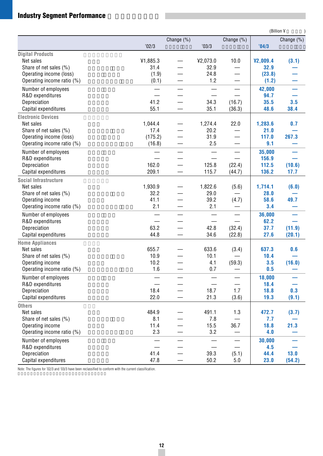# **Industry Segment Performance**

|                            |                          |                          |                          |                          |          | (Billion ¥ |
|----------------------------|--------------------------|--------------------------|--------------------------|--------------------------|----------|------------|
|                            |                          | Change (%)               |                          | Change (%)               |          | Change (%) |
|                            | 02/3                     |                          | '03/3                    |                          | '04/3    |            |
| <b>Digital Products</b>    |                          |                          |                          |                          |          |            |
| Net sales                  | ¥1,885.3                 |                          | ¥2,073.0                 | 10.0                     | ¥2,009.4 | (3.1)      |
| Share of net sales (%)     | 31.4                     |                          | 32.9                     |                          | 32.9     |            |
| Operating income (loss)    | (1.9)                    |                          | 24.8                     |                          | (23.8)   |            |
| Operating income ratio (%) | (0.1)                    |                          | 1.2                      |                          | (1.2)    |            |
| Number of employees        |                          |                          |                          |                          | 42,000   | —          |
| R&D expenditures           |                          |                          |                          |                          | 94.7     |            |
| Depreciation               | 41.2                     |                          | 34.3                     | (16.7)                   | 35.5     | 3.5        |
| Capital expenditures       | 55.1                     |                          | 35.1                     | (36.3)                   | 48.6     | 38.4       |
| <b>Electronic Devices</b>  |                          |                          |                          |                          |          |            |
| Net sales                  | 1,044.4                  |                          | 1,274.4                  | 22.0                     | 1,283.6  | 0.7        |
| Share of net sales (%)     | 17.4                     |                          | 20.2                     |                          | 21.0     |            |
| Operating income (loss)    | (175.2)                  |                          | 31.9                     |                          | 117.0    | 267.3      |
| Operating income ratio (%) | (16.8)                   |                          | 2.5                      |                          | 9.1      |            |
| Number of employees        |                          |                          |                          |                          | 35,000   |            |
| R&D expenditures           |                          |                          |                          |                          | 156.9    |            |
| Depreciation               | 162.0                    |                          | 125.8                    | (22.4)                   | 112.5    | (10.6)     |
| Capital expenditures       | 209.1                    |                          | 115.7                    | (44.7)                   | 136.2    | 17.7       |
| Social Infrastructure      |                          |                          |                          |                          |          |            |
| Net sales                  | 1,930.9                  |                          | 1,822.6                  | (5.6)                    | 1,714.1  | (6.0)      |
| Share of net sales (%)     | 32.2                     |                          | 29.0                     |                          | 28.0     |            |
| Operating income           | 41.1                     |                          | 39.2                     | (4.7)                    | 58.6     | 49.7       |
| Operating income ratio (%) | 2.1                      |                          | 2.1                      |                          | 3.4      |            |
| Number of employees        |                          |                          |                          | $\equiv$                 | 36,000   |            |
| R&D expenditures           | $\overline{\phantom{0}}$ |                          |                          | $\equiv$                 | 62.2     |            |
| Depreciation               | 63.2                     |                          | 42.8                     | (32.4)                   | 37.7     | (11.9)     |
| Capital expenditures       | 44.8                     |                          | 34.6                     | (22.8)                   | 27.6     | (20.1)     |
| <b>Home Appliances</b>     |                          |                          |                          |                          |          |            |
| Net sales                  | 655.7                    |                          | 633.6                    | (3.4)                    | 637.3    | 0.6        |
| Share of net sales (%)     | 10.9                     |                          | 10.1                     |                          | 10.4     |            |
| Operating income           | 10.2                     |                          | 4.1                      | (59.3)                   | 3.5      | (16.0)     |
| Operating income ratio (%) | 1.6                      |                          | 0.7                      | —                        | 0.5      |            |
| Number of employees        |                          | $\overline{\phantom{0}}$ | $\equiv$                 | $\equiv$                 | 18,000   |            |
| R&D expenditures           |                          |                          | $\overline{\phantom{0}}$ | $\overline{\phantom{0}}$ | 18.4     |            |
| Depreciation               | 18.4                     |                          | 18.7                     | 1.7                      | 18.8     | 0.3        |
| Capital expenditures       | 22.0                     |                          | 21.3                     | (3.6)                    | 19.3     | (9.1)      |
| <b>Others</b>              |                          |                          |                          |                          |          |            |
| Net sales                  | 484.9                    |                          | 491.1                    | 1.3                      | 472.7    | (3.7)      |
| Share of net sales (%)     | 8.1                      |                          | 7.8                      |                          | 7.7      |            |
| Operating income           | 11.4                     |                          | 15.5                     | 36.7                     | 18.8     | 21.3       |
| Operating income ratio (%) | 2.3                      |                          | 3.2                      |                          | 4.0      |            |
| Number of employees        |                          |                          |                          |                          | 30,000   |            |
| R&D expenditures           |                          |                          |                          |                          | 4.5      |            |
| Depreciation               | 41.4                     |                          | 39.3                     | (5.1)                    | 44.4     | 13.0       |
| Capital expenditures       | 47.8                     |                          | 50.2                     | $5.0$                    | 23.0     | (54.2)     |

Note: The figures for '02/3 and '03/3 have been reclassified to conform with the current classification.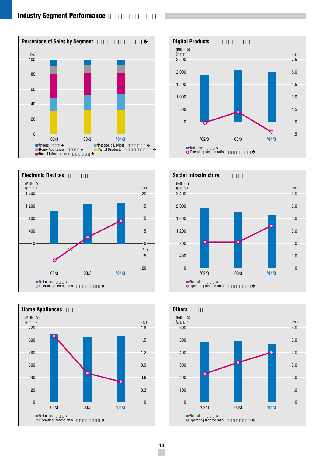# **Industry Segment Performance**











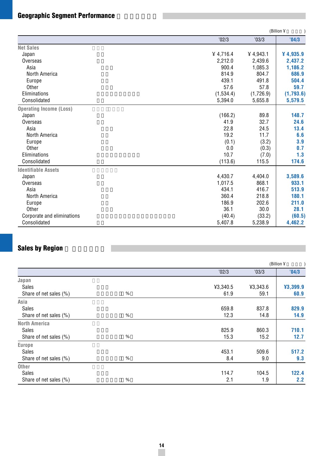# **Geographic Segment Performance**

|                                |           |           | (Billion ¥ |
|--------------------------------|-----------|-----------|------------|
|                                | '02/3     | '03/3     | '04/3      |
| <b>Net Sales</b>               |           |           |            |
| Japan                          | 4,716.4   | 4,943.1   | 4,935.9    |
| Overseas                       | 2,212.0   | 2,439.6   | 2,437.2    |
| Asia                           | 900.4     | 1,085.3   | 1,186.2    |
| North America                  | 814.9     | 804.7     | 686.9      |
| Europe                         | 439.1     | 491.8     | 504.4      |
| Other                          | 57.6      | 57.8      | 59.7       |
| Eliminations                   | (1,534.4) | (1,726.9) | (1,793.6)  |
| Consolidated                   | 5,394.0   | 5,655.8   | 5,579.5    |
| <b>Operating Income (Loss)</b> |           |           |            |
| Japan                          | (166.2)   | 89.8      | 148.7      |
| Overseas                       | 41.9      | 32.7      | 24.6       |
| Asia                           | 22.8      | 24.5      | 13.4       |
| North America                  | 19.2      | 11.7      | 6.6        |
| Europe                         | (0.1)     | (3.2)     | 3.9        |
| Other                          | 0.0       | (0.3)     | 0.7        |
| Eliminations                   | 10.7      | (7.0)     | 1.3        |
| Consolidated                   | (113.6)   | 115.5     | 174.6      |
| <b>Identifiable Assets</b>     |           |           |            |
| Japan                          | 4,430.7   | 4,404.0   | 3,589.6    |
| Overseas                       | 1,017.5   | 868.1     | 933.1      |
| Asia                           | 434.1     | 416.7     | 513.9      |
| North America                  | 360.4     | 218.8     | 180.1      |
| Europe                         | 186.9     | 202.6     | 211.0      |
| Other                          | 36.1      | 30.0      | 28.1       |
| Corporate and eliminations     | (40.4)    | (33.2)    | (60.5)     |
| Consolidated                   | 5,407.8   | 5,238.9   | 4,462.2    |

# **Sales by Region**

|                        |      |          |          | (Billion ¥ |
|------------------------|------|----------|----------|------------|
|                        |      | '02/3    | '03/3    | '04/3      |
| Japan                  |      |          |          |            |
| <b>Sales</b>           |      | ¥3,340.5 | ¥3,343.6 | ¥3,399.9   |
| Share of net sales (%) | %    | 61.9     | 59.1     | 60.9       |
| Asia                   |      |          |          |            |
| Sales                  |      | 659.8    | 837.8    | 829.9      |
| Share of net sales (%) | $\%$ | 12.3     | 14.8     | 14.9       |
| <b>North America</b>   |      |          |          |            |
| <b>Sales</b>           |      | 825.9    | 860.3    | 710.1      |
| Share of net sales (%) | %    | 15.3     | 15.2     | 12.7       |
| Europe                 |      |          |          |            |
| Sales                  |      | 453.1    | 509.6    | 517.2      |
| Share of net sales (%) | $\%$ | 8.4      | 9.0      | 9.3        |
| <b>Other</b>           |      |          |          |            |
| Sales                  |      | 114.7    | 104.5    | 122.4      |
| Share of net sales (%) | $\%$ | 2.1      | 1.9      | 2.2        |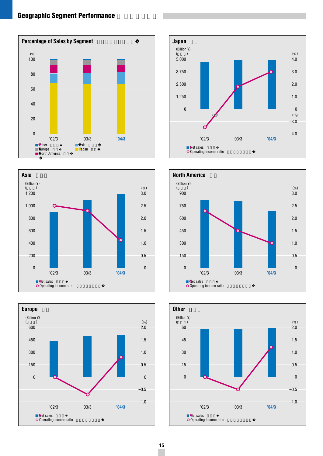# **Geographic Segment Performance**













## **15**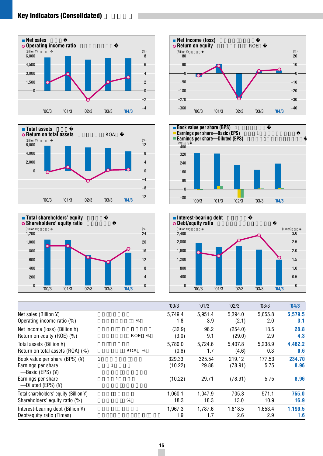# **Key Indicators (Consolidated)**













|                                            |   |                 | '00/3   | '01/3   | '02/3   | '03/3   | '04/3   |
|--------------------------------------------|---|-----------------|---------|---------|---------|---------|---------|
| Net sales (Billion $\Psi$ )                |   |                 | 5,749.4 | 5,951.4 | 5,394.0 | 5,655.8 | 5,579.5 |
| Operating income ratio (%)                 |   | %               | 1.8     | 3.9     | (2.1)   | 2.0     | 3.1     |
| Net income (loss) (Billion ¥)              |   |                 | (32.9)  | 96.2    | (254.0) | 18.5    | 28.8    |
| Return on equity (ROE) (%)                 |   | %<br><b>ROE</b> | (3.0)   | 9.1     | (29.0)  | 2.9     | 4.3     |
| Total assets (Billion $\angle$ )           |   |                 | 5,780.0 | 5,724.6 | 5,407.8 | 5,238.9 | 4,462.2 |
| Return on total assets (ROA) (%)           |   | ROA %           | (0.6)   | 1.7     | (4.6)   | 0.3     | 0.6     |
| Book value per share (BPS) $(Y)$           | 1 |                 | 329.33  | 325.54  | 219.12  | 177.53  | 234.70  |
| Earnings per share                         |   |                 | (10.22) | 29.88   | (78.91) | 5.75    | 8.96    |
| —Basic (EPS) $(4)$                         |   |                 |         |         |         |         |         |
| Earnings per share<br>—Diluted (EPS) $(4)$ |   |                 | (10.22) | 29.71   | (78.91) | 5.75    | 8.96    |
| Total shareholders' equity (Billion ¥)     |   |                 | 1,060.1 | 1.047.9 | 705.3   | 571.1   | 755.0   |
| Shareholders' equity ratio (%)             |   | $\%$            | 18.3    | 18.3    | 13.0    | 10.9    | 16.9    |
| Interest-bearing debt (Billion $\angle$ )  |   |                 | 1,967.3 | 1.787.6 | 1.818.5 | 1,653.4 | 1,199.5 |
| Debt/equity ratio (Times)                  |   |                 | 1.9     | 1.7     | 2.6     | 2.9     | 1.6     |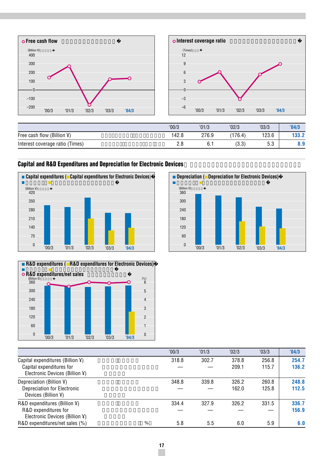

|                                   | '00/3 | '01/3 | '02/3 | '03/3      | '04/3 |
|-----------------------------------|-------|-------|-------|------------|-------|
| Free cash flow (<br>$(Billion \)$ | 142.8 | 276.9 | 176.4 | 123.6      | 133.2 |
| Interest coverage ratio (Times)   | ۷.C   | 6.1   | (3.3) | r n<br>ບ.ບ | 0.Y   |

# **Capital and R&D Expenditures and Depreciation for Electronic Devices**







|                                  |   | '00/3 | '01/3 | '02/3 | '03/3 | '04/3 |
|----------------------------------|---|-------|-------|-------|-------|-------|
| Capital expenditures (Billion ¥) |   | 318.8 | 302.7 | 378.8 | 256.8 | 254.7 |
| Capital expenditures for         |   |       |       | 209.1 | 115.7 | 136.2 |
| Electronic Devices (Billion ¥)   |   |       |       |       |       |       |
| Depreciation (Billion $\Psi$ )   |   | 348.8 | 339.8 | 326.2 | 260.8 | 248.8 |
| Depreciation for Electronic      |   |       |       | 162.0 | 125.8 | 112.5 |
| Devices (Billion ¥)              |   |       |       |       |       |       |
| $R&D$ expenditures (Billion ¥)   |   | 334.4 | 327.9 | 326.2 | 331.5 | 336.7 |
| R&D expenditures for             |   |       |       |       |       | 156.9 |
| Electronic Devices (Billion ¥)   |   |       |       |       |       |       |
| R&D expenditures/net sales (%)   | % | 5.8   | 5.5   | 6.0   | 5.9   | 6.0   |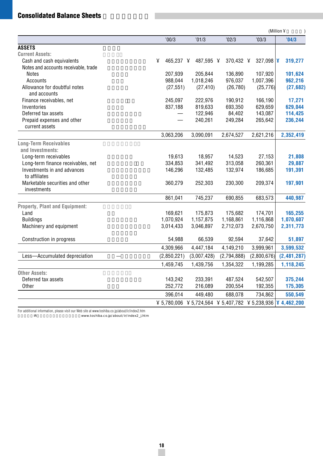# $Consider a **Balance Sheets**$

|                                      |                |                                                             |             |             | (Million ¥  |
|--------------------------------------|----------------|-------------------------------------------------------------|-------------|-------------|-------------|
|                                      | '00/3          | '01/3                                                       | '02/3       | '03/3       | '04/3       |
| <b>ASSETS</b>                        |                |                                                             |             |             |             |
| <b>Current Assets:</b>               |                |                                                             |             |             |             |
| Cash and cash equivalents            | ¥<br>465,237 ¥ | 487,595 ¥                                                   | 370,432 ¥   | 327,098 $ $ | 319,277     |
| Notes and accounts receivable, trade |                |                                                             |             |             |             |
| <b>Notes</b>                         | 207,939        | 205,844                                                     | 136,890     | 107,920     | 101,624     |
| Accounts                             | 988,044        | 1,018,246                                                   | 976,037     | 1,007,396   | 962,216     |
| Allowance for doubtful notes         | (27, 551)      | (27, 410)                                                   | (26, 780)   | (25, 776)   | (27, 682)   |
| and accounts                         |                |                                                             |             |             |             |
| Finance receivables, net             | 245,097        | 222,976                                                     | 190,912     | 166,190     | 17,271      |
| Inventories                          | 837,188        | 819,633                                                     | 693,350     | 629,659     | 629,044     |
| Deferred tax assets                  |                | 122,946                                                     | 84,402      | 143,087     | 114,425     |
| Prepaid expenses and other           |                | 240,261                                                     | 249,284     | 265,642     | 236,244     |
| current assets                       |                |                                                             |             |             |             |
|                                      | 3,063,206      | 3,090,091                                                   | 2,674,527   | 2,621,216   | 2,352,419   |
| <b>Long-Term Receivables</b>         |                |                                                             |             |             |             |
| and Investments:                     |                |                                                             |             |             |             |
| Long-term receivables                | 19,613         | 18,957                                                      | 14,523      | 27,153      | 21,808      |
| Long-term finance receivables, net   | 334,853        | 341,492                                                     | 313,058     | 260,361     | 29,887      |
| Investments in and advances          | 146,296        | 132,485                                                     | 132,974     | 186,685     | 191,391     |
| to affiliates                        |                |                                                             |             |             |             |
| Marketable securities and other      | 360,279        | 252,303                                                     | 230,300     | 209,374     | 197,901     |
| investments                          |                |                                                             |             |             |             |
|                                      | 861,041        | 745,237                                                     | 690,855     | 683,573     | 440,987     |
| Property, Plant and Equipment:       |                |                                                             |             |             |             |
| Land                                 | 169,621        | 175,873                                                     | 175,682     | 174,701     | 165,255     |
| <b>Buildings</b>                     | 1,070,924      | 1,157,875                                                   | 1,168,861   | 1,116,868   | 1,070,607   |
| Machinery and equipment              | 3,014,433      | 3,046,897                                                   | 2,712,073   | 2,670,750   | 2,311,773   |
|                                      |                |                                                             |             |             |             |
| Construction in progress             | 54,988         | 66,539                                                      | 92,594      | 37,642      | 51,897      |
|                                      | 4,309,966      | 4,447,184                                                   | 4,149,210   | 3,999,961   | 3,599,532   |
| Less-Accumulated depreciation        | (2,850,221)    | (3,007,428)                                                 | (2,794,888) | (2,800,676) | (2,481,287) |
|                                      | 1,459,745      | 1,439,756                                                   | 1,354,322   | 1,199,285   | 1,118,245   |
| <b>Other Assets:</b>                 |                |                                                             |             |             |             |
| Deferred tax assets                  | 143,242        | 233,391                                                     | 487,524     | 542,507     | 375,244     |
| Other                                | 252,772        | 216,089                                                     | 200,554     | 192,355     | 175,305     |
|                                      | 396,014        | 449,480                                                     | 688,078     | 734,862     | 550,549     |
|                                      |                | ¥ 5,780,006 ¥ 5,724,564 ¥ 5,407,782 ¥ 5,238,936 ¥ 4,462,200 |             |             |             |

For additional information, please visit our Web site at www.toshiba.co.jp/about/ir/index2.htm

www.toshiba.co.jp/about/ir/index2\_j.htm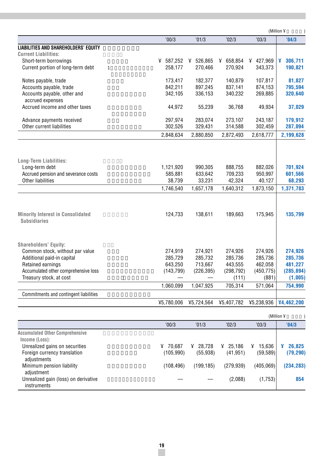|                                                                 |            |            |            |            | (Million ¥   |
|-----------------------------------------------------------------|------------|------------|------------|------------|--------------|
|                                                                 | '00/3      | '01/3      | '02/3      | '03/3      | '04/3        |
| <b>LIABILITIES AND SHAREHOLDERS' EQUITY</b>                     |            |            |            |            |              |
| <b>Current Liabilities:</b>                                     |            |            |            |            |              |
| Short-term borrowings                                           | ¥ 587,252  | ¥ 526,865  | ¥ 658,854  | ¥ 427,969  | ¥<br>306,711 |
| Current portion of long-term debt<br>$\mathbf{1}$               | 258,177    | 270,466    | 270,924    | 343,373    | 190,821      |
| Notes payable, trade                                            | 173,417    | 182,377    | 140,879    | 107,817    | 81,827       |
| Accounts payable, trade                                         | 842,211    | 897,245    | 837,141    | 874,153    | 795,594      |
| Accounts payable, other and<br>accrued expenses                 | 342,105    | 336,153    | 340,232    | 269,885    | 320,640      |
| Accrued income and other taxes                                  | 44,972     | 55,239     | 36,768     | 49,934     | 37,029       |
| Advance payments received                                       | 297,974    | 283,074    | 273,107    | 243,187    | 179,912      |
| Other current liabilities                                       | 302,526    | 329,431    | 314,588    | 302,459    | 287,094      |
|                                                                 | 2,848,634  | 2,880,850  | 2,872,493  | 2,618,777  | 2,199,628    |
|                                                                 |            |            |            |            |              |
| <b>Long-Term Liabilities:</b>                                   |            |            |            |            |              |
| Long-term debt                                                  | 1,121,920  | 990,305    | 888,755    | 882,026    | 701,924      |
| Accrued pension and severance costs                             | 585,881    | 633,642    | 709,233    | 950,997    | 601,566      |
| Other liabilities                                               | 38,739     | 33,231     | 42,324     | 40,127     | 68,293       |
|                                                                 | 1,746,540  | 1,657,178  | 1,640,312  | 1,873,150  | 1,371,783    |
| <b>Minority Interest in Consolidated</b><br><b>Subsidiaries</b> | 124,733    | 138,611    | 189,663    | 175,945    | 135,799      |
|                                                                 |            |            |            |            |              |
| <b>Shareholders' Equity:</b><br>Common stock, without par value | 274,919    | 274,921    | 274,926    | 274,926    | 274,926      |
| Additional paid-in capital                                      | 285,729    | 285,732    | 285,736    | 285,736    | 285,736      |
| Retained earnings                                               | 643,250    | 713,667    | 443.555    | 462,058    | 481,227      |
| Accumulated other comprehensive loss                            | (143, 799) | (226, 395) | (298, 792) | (450, 775) | (285, 894)   |
| Treasury stock, at cost                                         |            |            | (111)      | (881)      | (1,005)      |
|                                                                 | 1,060,099  | 1,047,925  | 705,314    | 571,064    | 754,990      |
| Commitments and contingent liabilities                          |            |            |            |            |              |
|                                                                 | ¥5,780,006 | ¥5,724,564 | ¥5,407,782 | ¥5,238,936 | ¥4,462,200   |
|                                                                 |            |            |            |            | (Million ¥   |
|                                                                 | '00/3      | '01/3      | '02/3      | '03/3      | '04/3        |
| <b>Accumulated Other Comprehensive</b>                          |            |            |            |            |              |

| AGGUILUIGLGU OLIIGI OOIIIPIGIIGIISIVG               |             |             |             |             |            |
|-----------------------------------------------------|-------------|-------------|-------------|-------------|------------|
| Income (Loss):                                      |             |             |             |             |            |
| Unrealized gains on securities                      | 70.687<br>¥ | 28.728<br>¥ | 25.186<br>¥ | 15.636<br>¥ | 26.825     |
| Foreign currency translation<br>adjustments         | (105, 990)  | (55.938)    | (41, 951)   | (59, 589)   | (79, 290)  |
| Minimum pension liability<br>adjustment             | (108.496)   | (199.185)   | (279.939)   | (405.069)   | (234, 283) |
| Unrealized gain (loss) on derivative<br>instruments |             |             | (2.088)     | (1,753)     | 854        |
|                                                     |             |             |             |             |            |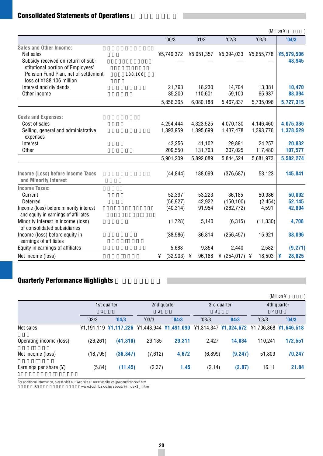# **Consolidated Statements of Operations**

|                                                                                |         |                |             |            |             | (Million ¥  |
|--------------------------------------------------------------------------------|---------|----------------|-------------|------------|-------------|-------------|
|                                                                                |         | '00/3          | '01/3       | '02/3      | '03/3       | '04/3       |
| <b>Sales and Other Income:</b>                                                 |         |                |             |            |             |             |
| Net sales                                                                      |         | ¥5,749,372     | ¥5,951,357  | ¥5,394,033 | ¥5,655,778  | ¥5,579,506  |
| Subsidy received on return of sub-<br>stitutional portion of Employees'        |         |                |             |            |             | 48,945      |
| Pension Fund Plan, net of settlement<br>loss of ¥188,106 million               | 188,106 |                |             |            |             |             |
| Interest and dividends                                                         |         | 21.793         | 18.230      | 14,704     | 13,381      | 10,470      |
| Other income                                                                   |         | 85,200         | 110,601     | 59,100     | 65,937      | 88,394      |
|                                                                                |         | 5,856,365      | 6,080,188   | 5,467,837  | 5,735,096   | 5,727,315   |
| <b>Costs and Expenses:</b>                                                     |         |                |             |            |             |             |
| Cost of sales                                                                  |         | 4,254,444      | 4,323,525   | 4,070,130  | 4,146,460   | 4,075,336   |
| Selling, general and administrative<br>expenses                                |         | 1,393,959      | 1,395,699   | 1,437,478  | 1,393,776   | 1,378,529   |
| Interest                                                                       |         | 43.256         | 41,102      | 29,891     | 24,257      | 20,832      |
| Other                                                                          |         | 209,550        | 131,763     | 307,025    | 117,480     | 107,577     |
|                                                                                |         | 5,901,209      | 5,892,089   | 5,844,524  | 5,681,973   | 5,582,274   |
| Income (Loss) before Income Taxes<br>and Minority Interest                     |         | (44, 844)      | 188,099     | (376, 687) | 53,123      | 145,041     |
| <b>Income Taxes:</b>                                                           |         |                |             |            |             |             |
| Current                                                                        |         | 52,397         | 53,223      | 36,185     | 50,986      | 50,092      |
| Deferred                                                                       |         | (56, 927)      | 42,922      | (150, 100) | (2, 454)    | 52,145      |
| Income (loss) before minority interest<br>and equity in earnings of affiliates |         | (40, 314)      | 91,954      | (262, 772) | 4,591       | 42,804      |
| Minority interest in income (loss)                                             |         | (1,728)        | 5,140       | (6, 315)   | (11, 330)   | 4,708       |
| of consolidated subsidiaries                                                   |         |                |             |            |             |             |
| Income (loss) before equity in                                                 |         | (38, 586)      | 86,814      | (256, 457) | 15,921      | 38,096      |
| earnings of affiliates                                                         |         |                |             |            |             |             |
| Equity in earnings of affiliates                                               |         | 5,683          | 9,354       | 2,440      | 2,582       | (9, 271)    |
| Net income (loss)                                                              |         | ¥<br>(32, 903) | 96,168<br>¥ | (254, 017) | 18,503<br>¥ | 28,825<br>¥ |

# **Quarterly Performance Highlights**

|                          |           |                                                                                             |                |        |             |                       |                | (Million ¥                |
|--------------------------|-----------|---------------------------------------------------------------------------------------------|----------------|--------|-------------|-----------------------|----------------|---------------------------|
|                          |           | 2nd quarter<br>1st quarter                                                                  |                |        | 3rd quarter | 4th quarter           |                |                           |
|                          |           |                                                                                             | $\overline{2}$ |        | 3           |                       | $\overline{4}$ |                           |
|                          | '03/3     | '04/3                                                                                       | '03/3          | '04/3  | '03/3       | '04/3                 | '03/3          | '04/3                     |
| Net sales                |           | $\frac{1}{2}1,191,119$ $\frac{1}{2}1,117,226$ $\frac{1}{2}1,443,944$ $\frac{1}{2}1,491,090$ |                |        |             | ¥1,314,347 ¥1,324,672 |                | $41,706,368$ $41,646,518$ |
| Operating income (loss)  | (26, 261) | (41, 310)                                                                                   | 29,135         | 29,311 | 2.427       | 14,034                | 110.241        | 172,551                   |
| Net income (loss)        | (18, 795) | (36, 847)                                                                                   | (7,612)        | 4,672  | (6,899)     | (9, 247)              | 51,809         | 70,247                    |
| Earnings per share $(Y)$ | (5.84)    | (11.45)                                                                                     | (2.37)         | 1.45   | (2.14)      | (2.87)                | 16.11          | 21.84                     |

For additional information, please visit our Web site at www.toshiba.co.jp/about/ir/index2.htm 詳細は当社IRサイトにてご覧いただけます。 www.toshiba.co.jp/about/ir/index2\_j.htm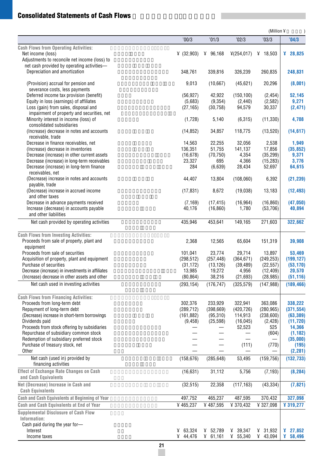# **Consolidated Statements of Cash Flows**

|                                                                                           |            |            |                  | (Million ¥       |                   |
|-------------------------------------------------------------------------------------------|------------|------------|------------------|------------------|-------------------|
|                                                                                           | '00/3      | '01/3      | '02/3            | '03/3            | '04/3             |
| <b>Cash Flows from Operating Activities:</b>                                              |            |            |                  |                  |                   |
| Net income (loss)                                                                         | (32,903)   | ¥ 96,168   | 4(254, 017)      | ¥ 18,503         | ¥ $28,825$        |
| Adjustments to reconcile net income (loss) to                                             |            |            |                  |                  |                   |
| net cash provided by operating activities-                                                |            |            |                  |                  |                   |
| Depreciation and amortization                                                             | 348,761    | 339,816    | 326,239          | 260,835          | 248,831           |
| (Provision) accrual for pension and                                                       | 9,013      | (10,667)   | (45, 621)        | 20,296           | (8,001)           |
| severance costs, less payments                                                            |            |            |                  |                  |                   |
| Deferred income tax provision (benefit)                                                   | (56, 927)  | 42,922     | (150, 100)       | (2, 454)         | 52,145            |
| Equity in loss (earnings) of affiliates                                                   | (5,683)    | (9, 354)   | (2, 440)         | (2, 582)         | 9,271             |
| Loss (gain) from sales, disposal and                                                      | (27, 165)  | (30, 758)  | 94,579           | 30,337           | (2, 471)          |
| impairment of property and securities, net                                                |            |            |                  |                  |                   |
| Minority interest in income (loss) of                                                     | (1,728)    | 5,140      | (6,315)          | (11, 330)        | 4,708             |
| consolidated subsidiaries                                                                 |            |            |                  |                  |                   |
| (Increase) decrease in notes and accounts<br>receivable, trade                            | (14, 852)  | 34,857     | 118,775          | (13, 520)        | (14, 617)         |
| Decrease in finance receivables, net                                                      | 14,563     | 22,255     | 32,056           | 2,538            | 1,949             |
| (Increase) decrease in inventories                                                        | 136,351    | 51,755     | 141,137          | 17,856           | (35, 852)         |
| Decrease (increase) in other current assets                                               | (16, 678)  | (70, 750)  | 4,354            | (35, 299)        | 9,371             |
| Decrease (increase) in long-term receivables                                              | 23,327     | 695        | 4,366            | (15, 283)        | 3,776             |
| Decrease (increase) in long-term finance                                                  | 284        | (6,639)    | 28,434           | 52,697           | 64,615            |
| receivables, net                                                                          |            |            |                  |                  |                   |
| (Decrease) increase in notes and accounts                                                 | 44,407     | 13,804     | (108,060)        | 6,392            | (21, 239)         |
| payable, trade<br>(Decrease) increase in accrued income                                   |            | 8,672      | (19,038)         | 13,183           | (12, 493)         |
| and other taxes                                                                           | (17, 831)  |            |                  |                  |                   |
| Decrease in advance payments received                                                     | (7, 169)   | (17, 415)  | (16, 964)        | (16, 860)        | (47, 050)         |
| Increase (decrease) in accounts payable                                                   | 40,176     | (16, 860)  | 1,780            | (53,706)         | 40,894            |
| and other liabilities                                                                     |            |            |                  |                  |                   |
| Net cash provided by operating activities                                                 | 435,946    | 453,641    | 149,165          | 271,603          | 322,662           |
|                                                                                           |            |            |                  |                  |                   |
| <b>Cash Flows from Investing Activities:</b><br>Proceeds from sale of property, plant and | 2,368      | 12,565     | 65,604           | 151,319          | 39,908            |
| equipment                                                                                 |            |            |                  |                  |                   |
| Proceeds from sale of securities                                                          | 101,041    | 23,774     | 29,714           | 13,897           | 53,469            |
| Acquisition of property, plant and equipment                                              | (298, 512) | (257, 448) | (364, 671)       | (249, 253)       | (199, 127)        |
| Purchase of securities                                                                    | (31, 172)  | (13, 126)  | (39, 489)        | (22, 557)        | (53, 170)         |
| Decrease (increase) in investments in affiliates                                          | 13,985     | 19,272     | 4,956            | (12, 409)        | 20,570            |
| (Increase) decrease in other assets and other                                             | (80, 864)  | 38,216     | (21, 693)        | (28, 985)        | (51, 116)         |
| Net cash used in investing activities                                                     | (293, 154) | (176, 747) | (325, 579)       | (147, 988)       | (189, 466)        |
| <b>Cash Flows from Financing Activities:</b>                                              |            |            |                  |                  |                   |
| Proceeds from long-term debt                                                              | 302,376    | 233.929    | 322,941          | 363,086          | 338,222           |
| Repayment of long-term debt                                                               | (289,712)  | (398, 669) | (420, 726)       | (280,965)        | (311, 554)        |
| (Decrease) increase in short-term borrowings                                              | (161, 882) | (95, 310)  | 114,913          | (238, 600)       | (63, 389)         |
| Dividends paid                                                                            | (9, 458)   | (25, 598)  | (16, 045)        | (2, 428)         | (11, 720)         |
| Proceeds from stock offering by subsidiaries                                              |            |            | 52,523           | 525              | 14,366            |
| Repurchase of subsidiary common stock                                                     |            |            |                  | (604)            | (1, 182)          |
| Redemption of subsidiary preferred stock                                                  |            |            |                  |                  | (35,000)          |
| Purchase of treasury stock, net<br>Other                                                  |            |            | (111)            | (770)            | (195)<br>(2, 281) |
| Net cash (used in) provided by                                                            |            |            |                  |                  |                   |
| financing activities                                                                      | (158, 676) | (285, 648) | 53,495           | (159, 756)       | (132, 733)        |
| <b>Effect of Exchange Rate Changes on Cash</b>                                            | (16, 631)  | 31,112     | 5,756            | (7, 193)         | (8, 284)          |
| and Cash Equivalents                                                                      |            |            |                  |                  |                   |
| Net (Decrease) Increase in Cash and                                                       | (32, 515)  | 22,358     | (117, 163)       | (43, 334)        | (7, 821)          |
| <b>Cash Equivalents</b>                                                                   |            |            |                  |                  |                   |
| Cash and Cash Equivalents at Beginning of Year                                            | 497,752    | 465,237    | 487,595          | 370,432          | 327,098           |
| Cash and Cash Equivalents at End of Year                                                  | ¥465,237   | ¥487,595   | ¥ 370,432        | ¥ 327,098        | ¥ 319,277         |
| <b>Supplemental Disclosure of Cash Flow</b>                                               |            |            |                  |                  |                   |
| Information:                                                                              |            |            |                  |                  |                   |
| Cash paid during the year for-                                                            |            |            |                  |                  |                   |
| Interest                                                                                  | 463,324    | ¥ 52,789   | $4 \quad 39,347$ | $4 \quad 31,932$ | 427,852           |
| Income taxes                                                                              | ¥ 44,476   | 461,161    | 455,340          | 43,094           | ¥<br>58,496       |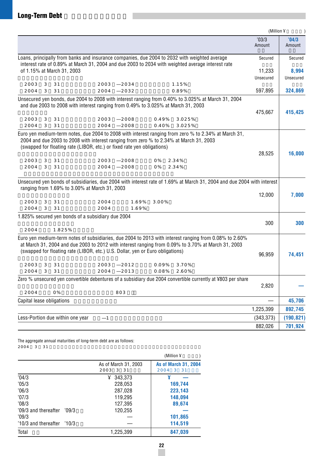|                                  |        |                            |                                                                                                                                                                                                                                                                                                                |                |                |                  | (Million ¥      |                 |
|----------------------------------|--------|----------------------------|----------------------------------------------------------------------------------------------------------------------------------------------------------------------------------------------------------------------------------------------------------------------------------------------------------------|----------------|----------------|------------------|-----------------|-----------------|
|                                  |        |                            |                                                                                                                                                                                                                                                                                                                |                |                |                  | '03/3<br>Amount | '04/3<br>Amount |
|                                  |        |                            | Loans, principally from banks and insurance companies, due 2004 to 2032 with weighted average<br>interest rate of 0.89% at March 31, 2004 and due 2003 to 2034 with weighted average interest rate                                                                                                             |                |                |                  | Secured         | Secured         |
|                                  |        | of 1.15% at March 31, 2003 |                                                                                                                                                                                                                                                                                                                |                |                |                  | 11,233          | 8,994           |
| 2003                             | 3      | 31                         | 2003                                                                                                                                                                                                                                                                                                           |                |                |                  | Unsecured       | Unsecured       |
| 2004                             | 3      | 31                         | 2004                                                                                                                                                                                                                                                                                                           | 2034<br>2032   |                | 1.15%<br>0.89%   | 597,895         | 324,869         |
|                                  |        |                            | Unsecured yen bonds, due 2004 to 2008 with interest ranging from 0.40% to 3.025% at March 31, 2004<br>and due 2003 to 2008 with interest ranging from 0.49% to 3.025% at March 31, 2003                                                                                                                        |                |                |                  | 475,667         | 415,425         |
| 2003<br>2004                     | 3<br>3 | 31<br>31                   | 2003<br>2004                                                                                                                                                                                                                                                                                                   | 2008<br>2008   | 0.49%<br>0.40% | 3.025%<br>3.025% |                 |                 |
| 2003<br>2004                     | 3<br>3 | 31<br>31                   | Euro yen medium-term notes, due 2004 to 2008 with interest ranging from zero % to 2.34% at March 31,<br>2004 and due 2003 to 2008 with interest ranging from zero % to 2.34% at March 31, 2003<br>(swapped for floating rate (LIBOR, etc.) or fixed rate yen obligations)<br>2003<br>2004                      | 2008<br>2008   | 0%<br>0%       | 2.34%<br>2.34%   | 28,525          | 16,000          |
| 2003<br>2004                     | 3<br>3 | 31<br>31                   | Unsecured yen bonds of subsidiaries, due 2004 with interest rate of 1.69% at March 31, 2004 and due 2004 with interest<br>ranging from 1.69% to 3.00% at March 31, 2003<br>2004<br>2004                                                                                                                        | 1.69%<br>1.69% | 3.00%          |                  | 12,000          | 7,000           |
|                                  |        |                            | 1.825% secured yen bonds of a subsidiary due 2004                                                                                                                                                                                                                                                              |                |                |                  |                 |                 |
| 2004                             |        | 1.825%                     |                                                                                                                                                                                                                                                                                                                |                |                |                  | 300             | 300             |
| 2003<br>2004                     | 3<br>3 | 31<br>31                   | Euro yen medium-term notes of subsidiaries, due 2004 to 2013 with interest ranging from 0.08% to 2.60%<br>at March 31, 2004 and due 2003 to 2012 with interest ranging from 0.09% to 3.70% at March 31, 2003<br>(swapped for floating rate (LIBOR, etc.) U.S. Dollar, yen or Euro obligations)<br>2003<br>2004 | 2012<br>2013   | 0.09%<br>0.08% | 3.70%<br>2.60%   | 96,959          | 74,451          |
|                                  |        |                            | Zero % unsecured yen convertible debentures of a subsidiary due 2004 convertible currently at ¥803 per share                                                                                                                                                                                                   |                |                |                  |                 |                 |
| 2004                             |        | 0%                         |                                                                                                                                                                                                                                                                                                                | 803            |                |                  | 2,820           |                 |
| Capital lease obligations        |        |                            |                                                                                                                                                                                                                                                                                                                |                |                |                  |                 | 45,706          |
|                                  |        |                            |                                                                                                                                                                                                                                                                                                                |                |                |                  | 1,225,399       | 892,745         |
| Less-Portion due within one year |        |                            | $\mathbf{1}$                                                                                                                                                                                                                                                                                                   |                |                |                  | (343, 373)      | (190, 821)      |
|                                  |        |                            |                                                                                                                                                                                                                                                                                                                |                |                |                  | 882,026         | 701,924         |

The aggregate annual maturities of long-term debt are as follows:  $2004$  3 31  $1$ 

|                                |       |                                      | (Million $\angle$                        |
|--------------------------------|-------|--------------------------------------|------------------------------------------|
|                                |       | As of March 31, 2003<br>2003<br>3 31 | <b>As of March 31, 2004</b><br>2004 3 31 |
| '04/3                          |       | 343,373<br>¥                         | ¥                                        |
| '05/3                          |       | 228,053                              | 169,744                                  |
| 06/3                           |       | 287,028                              | 223,143                                  |
| '07/3                          |       | 119,295                              | 148,094                                  |
| '08/3                          |       | 127,395                              | 89,674                                   |
| '09/3 and thereafter           | '09/3 | 120,255                              |                                          |
| '09/3                          |       |                                      | 101,865                                  |
| $'10/3$ and thereafter $'10/3$ |       |                                      | 114,519                                  |
| Total                          |       | 1,225,399                            | 847,039                                  |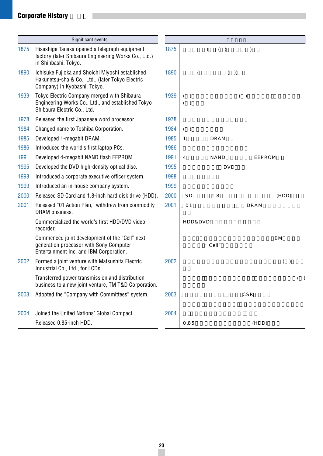# **Corporate History**

|      | Significant events                                                                                                                    |      |              |                    |            |         |                 |     |
|------|---------------------------------------------------------------------------------------------------------------------------------------|------|--------------|--------------------|------------|---------|-----------------|-----|
| 1875 | Hisashige Tanaka opened a telegraph equipment<br>factory (later Shibaura Engineering Works Co., Ltd.)<br>in Shinbashi, Tokyo.         | 1875 |              | $\left($           | ( )        | $\big)$ |                 |     |
| 1890 | Ichisuke Fujioka and Shoichi Miyoshi established<br>Hakunetsu-sha & Co., Ltd., (later Tokyo Electric<br>Company) in Kyobashi, Tokyo.  | 1890 |              | $\overline{(\ }$   |            | $($ $)$ |                 |     |
| 1939 | Tokyo Electric Company merged with Shibaura<br>Engineering Works Co., Ltd., and established Tokyo<br>Shibaura Electric Co., Ltd.      | 1939 | ( )<br>( )   |                    |            | ( )     |                 |     |
| 1978 | Released the first Japanese word processor.                                                                                           | 1978 |              |                    |            |         |                 |     |
| 1984 | Changed name to Toshiba Corporation.                                                                                                  | 1984 | ( )          |                    |            |         |                 |     |
| 1985 | Developed 1-megabit DRAM.                                                                                                             | 1985 | $\mathbf{1}$ |                    | DRAM       |         |                 |     |
| 1986 | Introduced the world's first laptop PCs.                                                                                              | 1986 |              |                    |            |         |                 |     |
| 1991 | Developed 4-megabit NAND flash EEPROM.                                                                                                | 1991 | 4            |                    | NAND       |         | EEPROM          |     |
| 1995 | Developed the DVD high-density optical disc.                                                                                          | 1995 |              |                    | <b>DVD</b> |         |                 |     |
| 1998 | Introduced a corporate executive officer system.                                                                                      | 1998 |              |                    |            |         |                 |     |
| 1999 | Introduced an in-house company system.                                                                                                | 1999 |              |                    |            |         |                 |     |
| 2000 | Released SD Card and 1.8-inch hard disk drive (HDD).                                                                                  | 2000 | SD.          |                    | 1.8        |         | (HDD)           |     |
| 2001 | Released "01 Action Plan," withdrew from commodity<br>DRAM business.                                                                  | 2001 | 01           |                    |            | DRAM    |                 |     |
|      | Commercialized the world's first HDD/DVD video<br>recorder.                                                                           |      |              | <b>HDD&amp;DVD</b> |            |         |                 |     |
|      | Commenced joint development of the "Cell" next-<br>generation processor with Sony Computer<br>Entertainment Inc. and IBM Corporation. |      |              |                    | " Cell"    |         | IB <sub>M</sub> |     |
| 2002 | Formed a joint venture with Matsushita Electric<br>Industrial Co., Ltd., for LCDs.                                                    | 2002 |              |                    |            |         | ( )             |     |
|      | Transferred power transmission and distribution<br>business to a new joint venture, TM T&D Corporation.                               |      |              |                    |            |         |                 | ( ) |
| 2003 | Adopted the "Company with Committees" system.                                                                                         | 2003 |              |                    |            | CSR     |                 |     |
| 2004 | Joined the United Nations' Global Compact.                                                                                            | 2004 |              |                    |            |         |                 |     |
|      | Released 0.85-inch HDD.                                                                                                               |      | 0.85         |                    |            | (HDD)   |                 |     |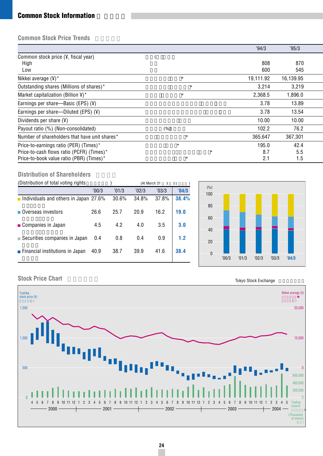# **Common Stock Information**

# **Common Stock Price Trends**

|                                                 |         | '94/3     | '95/3     |  |
|-------------------------------------------------|---------|-----------|-----------|--|
| Common stock price (¥, fiscal year)             |         |           |           |  |
| High                                            |         | 808       | 870       |  |
| Low                                             |         | 600       | 545       |  |
| Nikkei average $(Y)^*$                          | $\star$ | 19,111.92 | 16,139.95 |  |
| Outstanding shares (Millions of shares)*        | $\star$ | 3,214     | 3,219     |  |
| Market capitalization (Billion $\frac{1}{2}$ )* | $\star$ | 2,368.5   | 1,896.0   |  |
| Earnings per share—Basic (EPS) $(Y)$            |         | 3.78      | 13.89     |  |
| Earnings per share—Diluted (EPS) $(Y)$          |         | 3.78      | 13.54     |  |
| Dividends per share $(\frac{1}{2})$             |         | 10.00     | 10.00     |  |
| Payout ratio (%) (Non-consolidated)             | (% )    | 102.2     | 76.2      |  |
| Number of shareholders that have unit shares*   | $\star$ | 365,647   | 367,301   |  |
| Price-to-earnings ratio (PER) (Times)*          | $\star$ | 195.0     | 42.4      |  |
| Price-to-cash flows ratio (PCFR) (Times)*       | $\star$ | 8.7       | 5.5       |  |
| Price-to-book value ratio (PBR) (Times)*        | $\star$ | 2.1       | 1.5       |  |

## **Distribution of Shareholders**

|                                                |       |       | 3     |              |              |
|------------------------------------------------|-------|-------|-------|--------------|--------------|
| '00/3                                          | '01/3 | '02/3 | '03/3 | '04/3        | (% )<br>100  |
| <b>n</b> Individuals and others in Japan 27.6% | 30.6% | 34.8% | 37.8% | 38.4%        |              |
| 26.6                                           | 25.7  | 20.9  | 16.2  | 19.0         | 80<br>60     |
| 4.5                                            | 4.2   | 4.0   | 3.5   | 3.0          | 40           |
| 0.4                                            | 0.8   | 0.4   | 0.9   | 1.2          | 20           |
| 40.9                                           | 38.7  | 39.9  | 41.6  | 38.4         | $\mathbf{0}$ |
|                                                |       |       |       | (At March 31 | 31           |



# **Stock Price Chart**

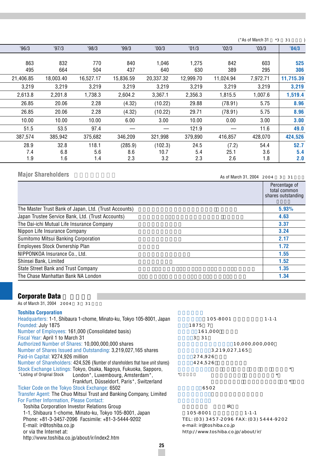|           |           |           |           |           |           |           | (*As of March 31 | $*3$<br>31 |
|-----------|-----------|-----------|-----------|-----------|-----------|-----------|------------------|------------|
| '96/3     | '97/3     | '98/3     | '99/3     | 00/3      | '01/3     | '02/3     | '03/3            | '04/3      |
|           |           |           |           |           |           |           |                  |            |
| 863       | 832       | 770       | 840       | 1.046     | 1,275     | 842       | 603              | 525        |
| 495       | 664       | 504       | 437       | 640       | 630       | 389       | 295              | 306        |
| 21.406.85 | 18.003.40 | 16,527.17 | 15,836.59 | 20,337.32 | 12.999.70 | 11.024.94 | 7.972.71         | 11,715.39  |
| 3,219     | 3,219     | 3,219     | 3,219     | 3,219     | 3,219     | 3,219     | 3,219            | 3,219      |
| 2,613.8   | 2,201.8   | 1,738.3   | 2,604.2   | 3,367.1   | 2,356.3   | 1,815.5   | 1,007.6          | 1,519.4    |
| 26.85     | 20.06     | 2.28      | (4.32)    | (10.22)   | 29.88     | (78.91)   | 5.75             | 8.96       |
| 26.85     | 20.06     | 2.28      | (4.32)    | (10.22)   | 29.71     | (78.91)   | 5.75             | 8.96       |
| 10.00     | 10.00     | 10.00     | 6.00      | 3.00      | 10.00     | 0.00      | 3.00             | 3.00       |
| 51.5      | 53.5      | 97.4      |           |           | 121.9     |           | 11.6             | 49.0       |
| 387,574   | 385,942   | 375,682   | 346,209   | 321,998   | 379,890   | 416,857   | 428,070          | 424,526    |
| 28.9      | 32.8      | 118.1     | (285.9)   | (102.3)   | 24.5      | (7.2)     | 54.4             | 52.7       |
| 7.4       | 6.8       | 5.6       | 8.6       | 10.7      | 5.4       | 25.1      | 3.6              | 5.4        |
| 1.9       | 1.6       | 1.4       | 2.3       | 3.2       | 2.3       | 2.6       | 1.8              | 2.0        |

# **Major Shareholders**

As of March 31, 2004 2004 3 31

|                                                       | Percentage of<br>total common<br>shares outstanding |
|-------------------------------------------------------|-----------------------------------------------------|
| The Master Trust Bank of Japan, Ltd. (Trust Accounts) | 5.93%                                               |
| Japan Trustee Service Bank, Ltd. (Trust Accounts)     | 4.63                                                |
| The Dai-ichi Mutual Life Insurance Company            | 3.37                                                |
| Nippon Life Insurance Company                         | 3.24                                                |
| Sumitomo Mitsui Banking Corporation                   | 2.17                                                |
| Employees Stock Ownership Plan                        | 1.72                                                |
| NIPPONKOA Insurance Co., Ltd.                         | 1.55                                                |
| Shinsei Bank, Limited                                 | 1.52                                                |
| State Street Bank and Trust Company                   | 1.35                                                |
| The Chase Manhattan Bank NA London                    | 1.34                                                |

# **Corporate Data**

As of March 31, 2004 2004 3 31

| <b>Toshiba Corporation</b><br>Headquarters: 1-1, Shibaura 1-chome, Minato-ku, Tokyo 105-8001, Japan | 105-8001                           | $1 - 1 - 1$                             |  |
|-----------------------------------------------------------------------------------------------------|------------------------------------|-----------------------------------------|--|
| Founded: July 1875                                                                                  | 1875<br>$\overline{7}$             |                                         |  |
| Number of Employees: 161,000 (Consolidated basis)                                                   | 161,000                            |                                         |  |
| Fiscal Year: April 1 to March 31                                                                    | 3<br>31                            |                                         |  |
| Authorized Number of Shares: 10,000,000,000 shares                                                  |                                    | 10,000,000,000                          |  |
| Number of Shares Issued and Outstanding: 3,219,027,165 shares                                       | 3,219,027,165                      |                                         |  |
| Paid-in Capital: ¥274,926 million                                                                   | 274,926                            |                                         |  |
| Number of Shareholders: 424,526 (Number of shareholders that have unit shares)                      | 424,526                            |                                         |  |
| Stock Exchange Listings: Tokyo, Osaka, Nagoya, Fukuoka, Sapporo,                                    |                                    | $\star$                                 |  |
| *Listing of Original Stock<br>London*, Luxembourg, Amsterdam*,                                      |                                    | $\star$                                 |  |
| Frankfurt, Düsseldorf, Paris*, Switzerland                                                          |                                    | $\star$                                 |  |
| Ticker Code on the Tokyo Stock Exchange: 6502                                                       | 6502                               |                                         |  |
| Transfer Agent: The Chuo Mitsui Trust and Banking Company, Limited                                  |                                    |                                         |  |
| For Further Information, Please Contact:                                                            |                                    |                                         |  |
| Toshiba Corporation Investor Relations Group                                                        | IR                                 |                                         |  |
| 1-1, Shibaura 1-chome, Minato-ku, Tokyo 105-8001, Japan                                             | 105-8001                           | $1 - 1 - 1$                             |  |
| Phone: +81-3-3457-2096 Facsimile: +81-3-5444-9202                                                   |                                    | TEL: (03) 3457-2096 FAX: (03) 5444-9202 |  |
| E-mail: ir@toshiba.co.jp                                                                            | e-mail: ir@toshiba.co.jp           |                                         |  |
| or via the Internet at:                                                                             | http://www.toshiba.co.jp/about/ir/ |                                         |  |
| http://www.toshiba.co.jp/about/ir/index2.htm                                                        |                                    |                                         |  |